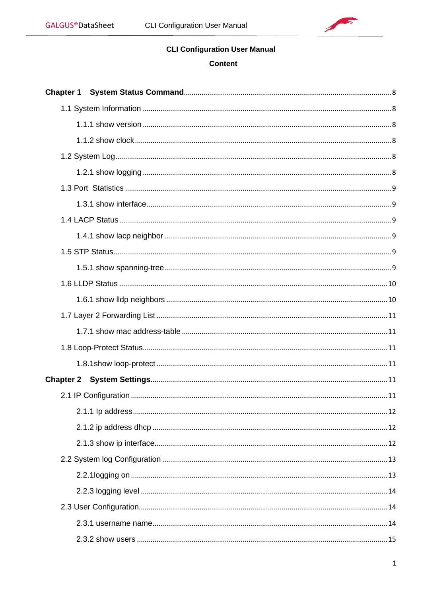

# **CLI Configuration User Manual**

# **Content**

| <b>Chapter 1</b> |  |
|------------------|--|
|                  |  |
|                  |  |
|                  |  |
|                  |  |
|                  |  |
|                  |  |
|                  |  |
|                  |  |
|                  |  |
|                  |  |
|                  |  |
|                  |  |
|                  |  |
|                  |  |
|                  |  |
|                  |  |
|                  |  |
|                  |  |
|                  |  |
|                  |  |
|                  |  |
|                  |  |
|                  |  |
|                  |  |
|                  |  |
|                  |  |
|                  |  |
|                  |  |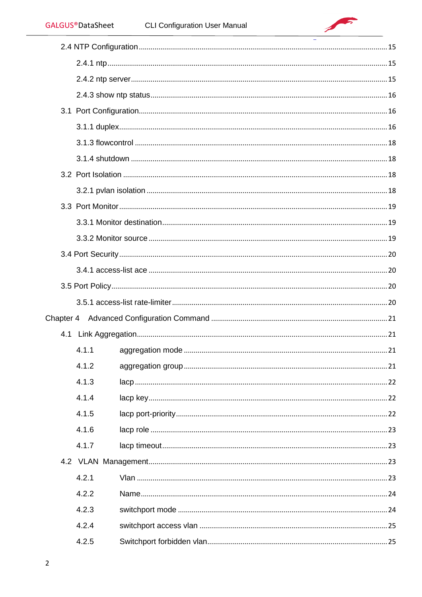$\sqrt{2}$ 

| 4.1.1 |  |
|-------|--|
| 4.1.2 |  |
| 4.1.3 |  |
| 4.1.4 |  |
| 4.1.5 |  |
| 4.1.6 |  |
| 4.1.7 |  |
|       |  |
| 4.2.1 |  |
| 4.2.2 |  |
| 4.2.3 |  |
| 4.2.4 |  |
| 4.2.5 |  |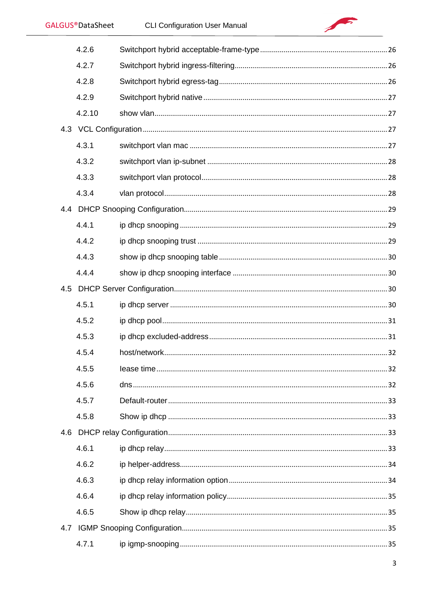

|     | 4.2.6  |  |  |
|-----|--------|--|--|
|     | 4.2.7  |  |  |
|     | 4.2.8  |  |  |
|     | 4.2.9  |  |  |
|     | 4.2.10 |  |  |
|     |        |  |  |
|     | 4.3.1  |  |  |
|     | 4.3.2  |  |  |
|     | 4.3.3  |  |  |
|     | 4.3.4  |  |  |
|     |        |  |  |
|     | 4.4.1  |  |  |
|     | 4.4.2  |  |  |
|     | 4.4.3  |  |  |
|     | 4.4.4  |  |  |
|     |        |  |  |
|     | 4.5.1  |  |  |
|     | 4.5.2  |  |  |
|     | 4.5.3  |  |  |
|     | 4.5.4  |  |  |
|     | 4.5.5  |  |  |
|     | 4.5.6  |  |  |
|     | 4.5.7  |  |  |
|     | 4.5.8  |  |  |
|     |        |  |  |
|     | 4.6.1  |  |  |
|     | 4.6.2  |  |  |
|     | 4.6.3  |  |  |
|     | 4.6.4  |  |  |
|     | 4.6.5  |  |  |
| 4.7 |        |  |  |
|     | 4.7.1  |  |  |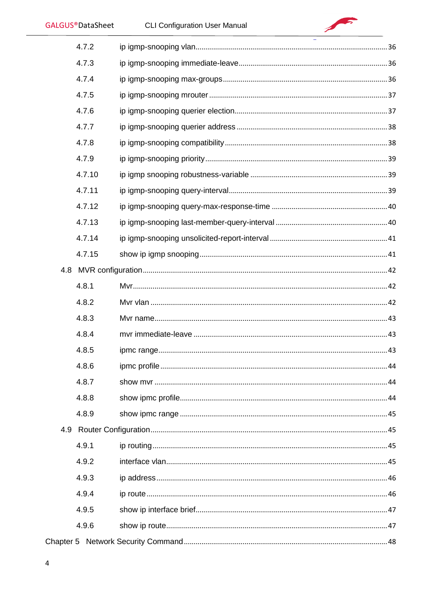| <b>GALGUS®DataSheet</b> | <b>CLI Configuration User Manual</b> |    |
|-------------------------|--------------------------------------|----|
| 4.7.2                   |                                      |    |
| 4.7.3                   |                                      |    |
| 4.7.4                   |                                      |    |
| 4.7.5                   |                                      |    |
| 4.7.6                   |                                      |    |
| 4.7.7                   |                                      |    |
| 4.7.8                   |                                      |    |
| 4.7.9                   |                                      |    |
| 4.7.10                  |                                      |    |
| 4.7.11                  |                                      |    |
| 4.7.12                  |                                      |    |
| 4.7.13                  |                                      |    |
| 4.7.14                  |                                      |    |
| 4.7.15                  |                                      |    |
|                         |                                      |    |
| 4.8.1                   |                                      |    |
| 4.8.2                   |                                      |    |
| 4.8.3                   |                                      |    |
| 4.8.4                   | mvr immediate-leave                  | 43 |
| 4.8.5                   |                                      |    |
| 4.8.6                   |                                      |    |
| 4.8.7                   |                                      |    |
| 4.8.8                   |                                      |    |
| 4.8.9                   |                                      |    |
|                         |                                      |    |
| 4.9.1                   |                                      |    |
| 4.9.2                   |                                      |    |
| 4.9.3                   |                                      |    |
| 4.9.4                   |                                      |    |
| 4.9.5                   |                                      |    |
| 4.9.6                   |                                      |    |
|                         |                                      |    |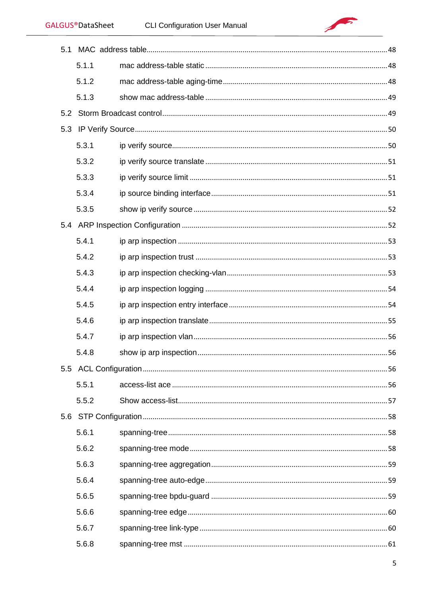$\sqrt{2}$ 

| 5.1 |       |  |    |
|-----|-------|--|----|
|     | 5.1.1 |  |    |
|     | 5.1.2 |  |    |
|     | 5.1.3 |  |    |
|     |       |  |    |
| 5.3 |       |  |    |
|     | 5.3.1 |  |    |
|     | 5.3.2 |  |    |
|     | 5.3.3 |  |    |
|     | 5.3.4 |  |    |
|     | 5.3.5 |  |    |
|     |       |  |    |
|     | 5.4.1 |  |    |
|     | 5.4.2 |  |    |
|     | 5.4.3 |  |    |
|     | 5.4.4 |  |    |
|     | 5.4.5 |  |    |
|     | 5.4.6 |  |    |
|     | 5.4.7 |  |    |
|     | 5.4.8 |  | 56 |
|     |       |  |    |
|     | 5.5.1 |  |    |
|     | 5.5.2 |  |    |
|     |       |  |    |
|     | 5.6.1 |  |    |
|     | 5.6.2 |  |    |
|     | 5.6.3 |  |    |
|     | 5.6.4 |  |    |
|     | 5.6.5 |  |    |
|     | 5.6.6 |  |    |
|     | 5.6.7 |  |    |
|     | 5.6.8 |  |    |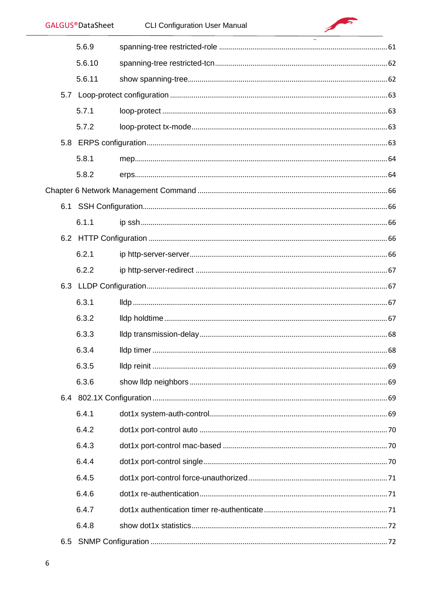| <b>GALGUS®DataSheet</b> | <b>CLI Configuration User Manual</b> |    |
|-------------------------|--------------------------------------|----|
| 5.6.9                   |                                      |    |
| 5.6.10                  |                                      |    |
| 5.6.11                  |                                      |    |
|                         |                                      |    |
| 5.7.1                   |                                      |    |
| 5.7.2                   |                                      |    |
|                         |                                      |    |
| 5.8.1                   |                                      |    |
| 5.8.2                   |                                      |    |
|                         |                                      |    |
|                         |                                      |    |
| 6.1.1                   |                                      |    |
|                         |                                      |    |
| 6.2.1                   |                                      |    |
| 6.2.2                   |                                      |    |
|                         |                                      |    |
| 6.3.1                   |                                      |    |
| 6.3.2                   |                                      |    |
| 6.3.3                   |                                      | 68 |
| 6.3.4                   |                                      |    |
| 6.3.5                   |                                      |    |
| 6.3.6                   |                                      |    |
|                         |                                      |    |
| 6.4.1                   |                                      |    |
| 6.4.2                   |                                      |    |
| 6.4.3                   |                                      |    |
| 6.4.4                   |                                      |    |
| 6.4.5                   |                                      |    |
| 6.4.6                   |                                      |    |
| 6.4.7                   |                                      |    |
| 6.4.8                   |                                      |    |
|                         |                                      |    |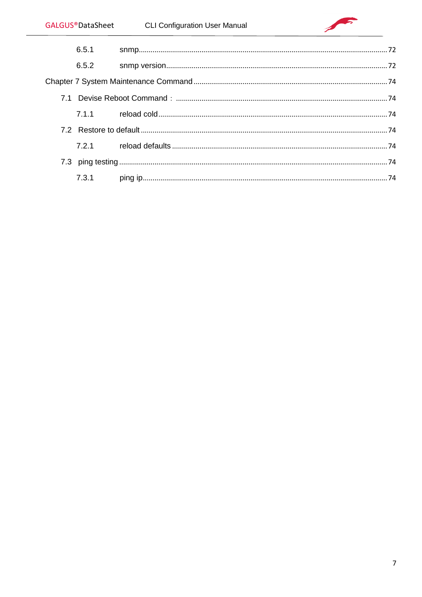| 6.5.1 |  |
|-------|--|
| 6.5.2 |  |
|       |  |
|       |  |
|       |  |
|       |  |
|       |  |
|       |  |
| 7.3.1 |  |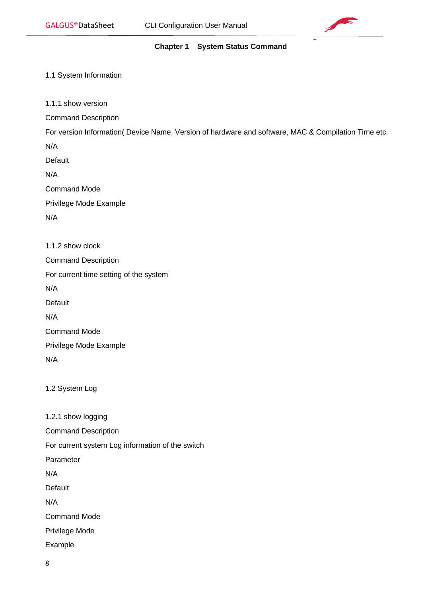

# **Chapter 1 System Status Command**

# <span id="page-7-1"></span><span id="page-7-0"></span>1.1 System Information

<span id="page-7-2"></span>1.1.1 show version

Command Description

For version Information( Device Name, Version of hardware and software, MAC & Compilation Time etc.

N/A

Default

N/A

Command Mode

Privilege Mode Example

N/A

<span id="page-7-3"></span>

| 1.1.2 show clock                       |
|----------------------------------------|
| <b>Command Description</b>             |
| For current time setting of the system |
| N/A                                    |
| Default                                |
| N/A                                    |
| <b>Command Mode</b>                    |
| Privilege Mode Example                 |
| N/A                                    |

<span id="page-7-4"></span>1.2 System Log

<span id="page-7-5"></span>1.2.1 show logging

Command Description For current system Log information of the switch Parameter N/A Default N/A Command Mode Privilege Mode Example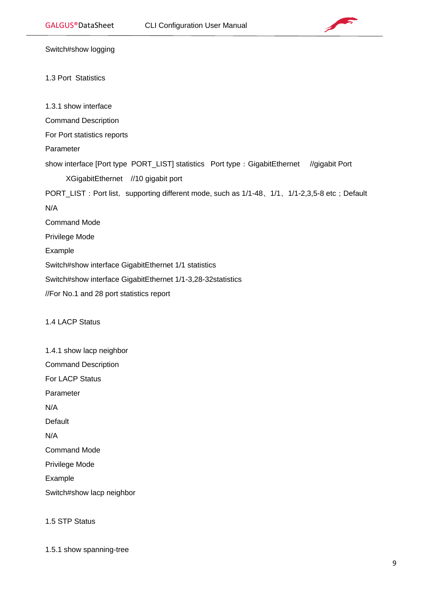

Switch#show logging

#### <span id="page-8-0"></span>1.3 Port Statistics

<span id="page-8-1"></span>1.3.1 show interface

Command Description

For Port statistics reports

Parameter

show interface [Port type PORT\_LIST] statistics Port type: GigabitEthernet //gigabit Port XGigabitEthernet //10 gigabit port

PORT\_LIST: Port list, supporting different mode, such as 1/1-48、1/1、1/1-2,3,5-8 etc; Default

N/A

Command Mode

Privilege Mode

Example

Switch#show interface GigabitEthernet 1/1 statistics

Switch#show interface GigabitEthernet 1/1-3,28-32statistics

//For No.1 and 28 port statistics report

# <span id="page-8-2"></span>1.4 LACP Status

<span id="page-8-3"></span>1.4.1 show lacp neighbor Command Description For LACP Status Parameter N/A Default N/A Command Mode Privilege Mode Example Switch#show lacp neighbor

<span id="page-8-4"></span>1.5 STP Status

<span id="page-8-5"></span>1.5.1 show spanning-tree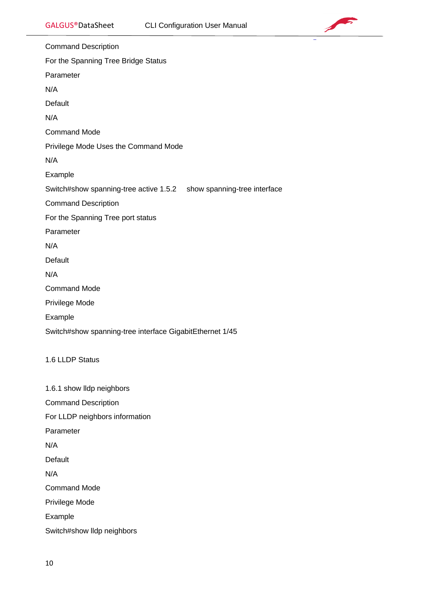

Command Description For the Spanning Tree Bridge Status Parameter N/A Default N/A Command Mode Privilege Mode Uses the Command Mode N/A Example Switch#show spanning-tree active 1.5.2 show spanning-tree interface Command Description For the Spanning Tree port status Parameter N/A Default N/A Command Mode Privilege Mode Example Switch#show spanning-tree interface GigabitEthernet 1/45 1.6 LLDP Status 1.6.1 show lldp neighbors

<span id="page-9-1"></span><span id="page-9-0"></span>Command Description

For LLDP neighbors information

Parameter

N/A

Default

N/A

Command Mode

Privilege Mode

Example

Switch#show lldp neighbors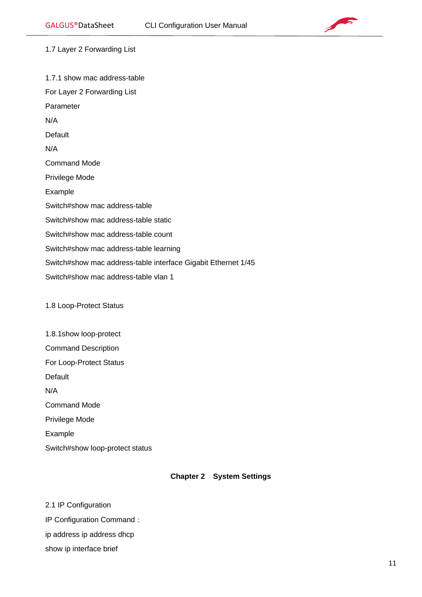

<span id="page-10-0"></span>1.7 Layer 2 Forwarding List

<span id="page-10-1"></span>1.7.1 show mac address-table For Layer 2 Forwarding List Parameter N/A Default N/A Command Mode Privilege Mode Example Switch#show mac address-table Switch#show mac address-table static Switch#show mac address-table count Switch#show mac address-table learning Switch#show mac address-table interface Gigabit Ethernet 1/45 Switch#show mac address-table vlan 1

<span id="page-10-2"></span>1.8 Loop-Protect Status

<span id="page-10-3"></span>1.8.1show loop-protect Command Description For Loop-Protect Status Default N/A Command Mode Privilege Mode Example Switch#show loop-protect status

# **Chapter 2 System Settings**

<span id="page-10-5"></span><span id="page-10-4"></span>2.1 IP Configuration IP Configuration Command: ip address ip address dhcp show ip interface brief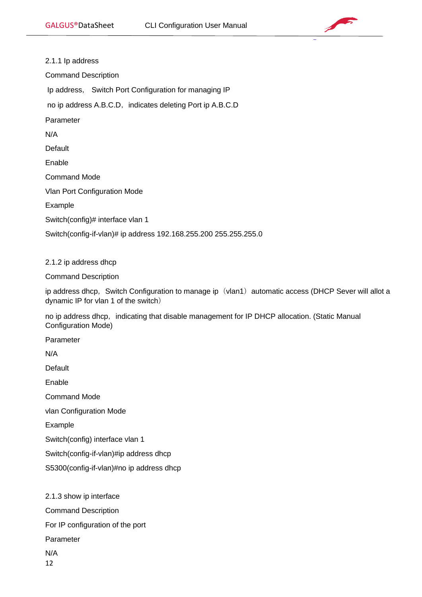

<span id="page-11-0"></span>2.1.1 Ip address Command Description Ip address, Switch Port Configuration for managing IP no ip address A.B.C.D, indicates deleting Port ip A.B.C.D Parameter N/A Default Enable Command Mode Vlan Port Configuration Mode Example Switch(config)# interface vlan 1 Switch(config-if-vlan)# ip address 192.168.255.200 255.255.255.0

# <span id="page-11-1"></span>2.1.2 ip address dhcp

Command Description

ip address dhcp, Switch Configuration to manage ip (vlan1) automatic access (DHCP Sever will allot a dynamic IP for vlan 1 of the switch)

no ip address dhcp, indicating that disable management for IP DHCP allocation. (Static Manual Configuration Mode)

Parameter

N/A

**Default** 

Enable

Command Mode

vlan Configuration Mode

Example

Switch(config) interface vlan 1

Switch(config-if-vlan)#ip address dhcp

S5300(config-if-vlan)#no ip address dhcp

<span id="page-11-2"></span>2.1.3 show ip interface

Command Description

For IP configuration of the port

Parameter

N/A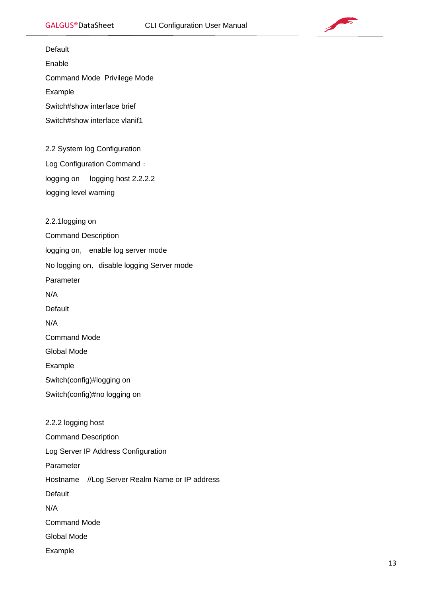

<span id="page-12-1"></span><span id="page-12-0"></span>Default Enable Command Mode Privilege Mode Example Switch#show interface brief Switch#show interface vlanif1 2.2 System log Configuration Log Configuration Command: logging on logging host 2.2.2.2 logging level warning 2.2.1logging on Command Description logging on, enable log server mode No logging on, disable logging Server mode Parameter N/A **Default** N/A Command Mode Global Mode Example Switch(config)#logging on Switch(config)#no logging on 2.2.2 logging host Command Description Log Server IP Address Configuration Parameter Hostname //Log Server Realm Name or IP address Default N/A Command Mode Global Mode

Example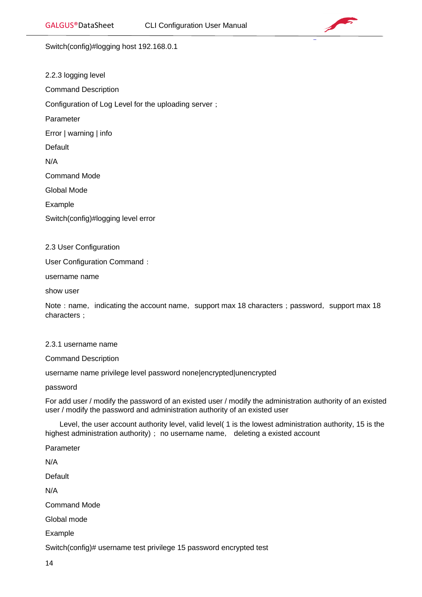

Switch(config)#logging host 192.168.0.1

<span id="page-13-0"></span>2.2.3 logging level Command Description Configuration of Log Level for the uploading server; Parameter Error | warning | info **Default** N/A Command Mode Global Mode Example Switch(config)#logging level error

<span id="page-13-1"></span>2.3 User Configuration

User Configuration Command:

username name

show user

Note: name, indicating the account name, support max 18 characters; password, support max 18 characters:

# <span id="page-13-2"></span>2.3.1 username name

Command Description

username name privilege level password none|encrypted|unencrypted

password

For add user / modify the password of an existed user / modify the administration authority of an existed user / modify the password and administration authority of an existed user

 Level, the user account authority level, valid level( 1 is the lowest administration authority, 15 is the highest administration authority); no username name, deleting a existed account

Parameter Default Command Mode Global mode Example

Switch(config)# username test privilege 15 password encrypted test

14

N/A

N/A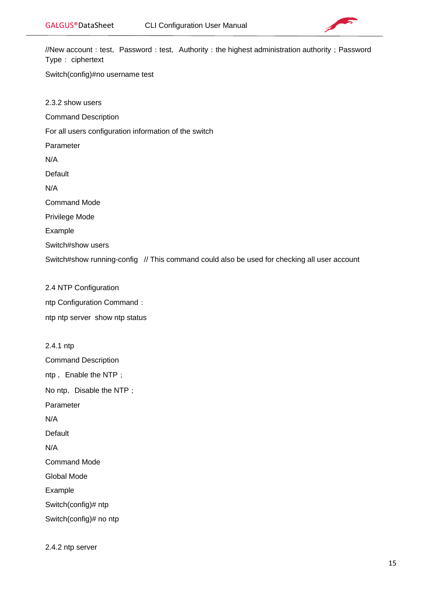

//New account: test, Password: test, Authority: the highest administration authority; Password Type: ciphertext

Switch(config)#no username test

<span id="page-14-0"></span>2.3.2 show users

Command Description

For all users configuration information of the switch

Parameter

N/A

Default

N/A

Command Mode

Privilege Mode

Example

Switch#show users

Switch#show running-config // This command could also be used for checking all user account

<span id="page-14-1"></span>2.4 NTP Configuration ntp Configuration Command: ntp ntp server show ntp status

<span id="page-14-2"></span>2.4.1 ntp Command Description ntp, Enable the NTP; No ntp, Disable the NTP; Parameter N/A Default N/A Command Mode Global Mode Example Switch(config)# ntp Switch(config)# no ntp

<span id="page-14-3"></span>2.4.2 ntp server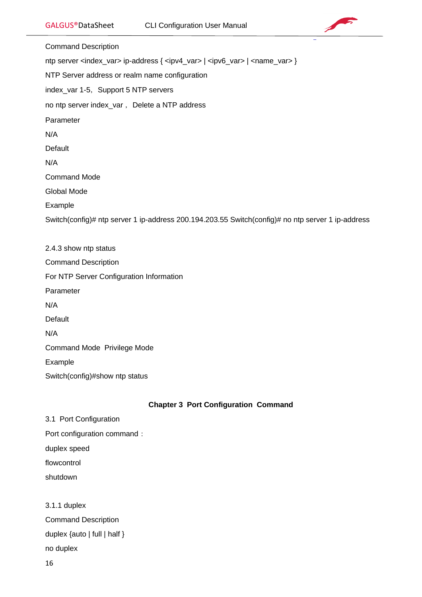

Command Description ntp server <index\_var> ip-address { <ipv4\_var> | <ipv6\_var> | <name\_var> } NTP Server address or realm name configuration index\_var 1-5, Support 5 NTP servers no ntp server index\_var, Delete a NTP address Parameter N/A Default N/A Command Mode Global Mode Example Switch(config)# ntp server 1 ip-address 200.194.203.55 Switch(config)# no ntp server 1 ip-address 2.4.3 show ntp status Command Description For NTP Server Configuration Information Parameter N/A **Default** 

<span id="page-15-0"></span>N/A

Command Mode Privilege Mode

Example

Switch(config)#show ntp status

# **Chapter 3 Port Configuration Command**

<span id="page-15-1"></span>3.1 Port Configuration Port configuration command: duplex speed flowcontrol shutdown

<span id="page-15-2"></span>3.1.1 duplex Command Description duplex {auto | full | half } no duplex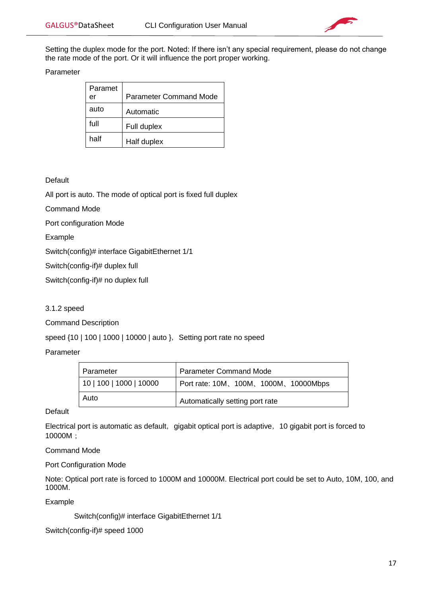

Setting the duplex mode for the port. Noted: If there isn't any special requirement, please do not change the rate mode of the port. Or it will influence the port proper working.

Parameter

| Paramet<br>er | <b>Parameter Command Mode</b> |
|---------------|-------------------------------|
| auto          | Automatic                     |
| full          | Full duplex                   |
| half          | Half duplex                   |

#### Default

All port is auto. The mode of optical port is fixed full duplex

Command Mode

Port configuration Mode

Example

Switch(config)# interface GigabitEthernet 1/1

Switch(config-if)# duplex full

Switch(config-if)# no duplex full

#### 3.1.2 speed

Command Description

speed  ${10 | 100 | 1000 | 10000 | 1000}$ , Setting port rate no speed

Parameter

| Parameter               | <b>Parameter Command Mode</b>          |
|-------------------------|----------------------------------------|
| 10   100   1000   10000 | Port rate: 10M, 100M, 1000M, 10000Mbps |
| Auto                    | Automatically setting port rate        |

#### **Default**

Electrical port is automatic as default, gigabit optical port is adaptive, 10 gigabit port is forced to 10000M;

Command Mode

Port Configuration Mode

Note: Optical port rate is forced to 1000M and 10000M. Electrical port could be set to Auto, 10M, 100, and 1000M.

Example

Switch(config)# interface GigabitEthernet 1/1

Switch(config-if)# speed 1000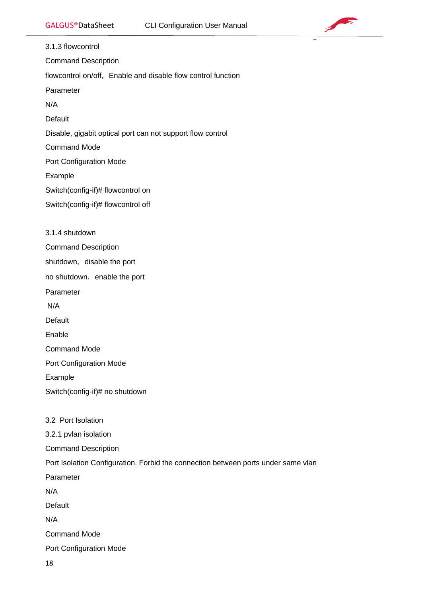

<span id="page-17-1"></span><span id="page-17-0"></span>3.1.3 flowcontrol Command Description flowcontrol on/off, Enable and disable flow control function Parameter N/A Default Disable, gigabit optical port can not support flow control Command Mode Port Configuration Mode Example Switch(config-if)# flowcontrol on Switch(config-if)# flowcontrol off 3.1.4 shutdown Command Description shutdown, disable the port no shutdown, enable the port Parameter N/A **Default** Enable Command Mode Port Configuration Mode Example Switch(config-if)# no shutdown 3.2 Port Isolation 3.2.1 pvlan isolation Command Description Port Isolation Configuration. Forbid the connection between ports under same vlan Parameter N/A Default N/A

<span id="page-17-3"></span><span id="page-17-2"></span>Command Mode

Port Configuration Mode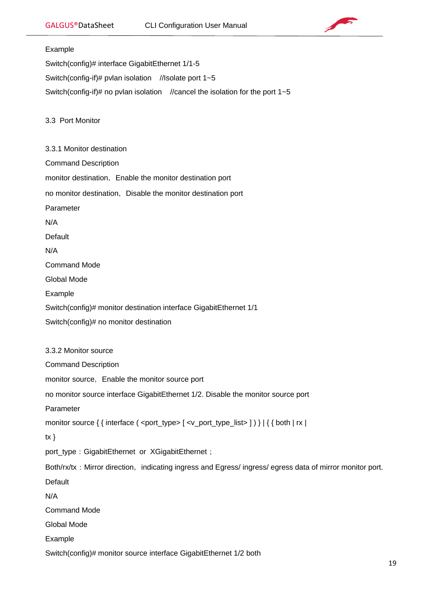

# <span id="page-18-1"></span><span id="page-18-0"></span>Example Switch(config)# interface GigabitEthernet 1/1-5 Switch(config-if)# pvlan isolation //Isolate port 1~5 Switch(config-if)# no pvlan isolation //cancel the isolation for the port 1~5 3.3 Port Monitor 3.3.1 Monitor destination Command Description monitor destination, Enable the monitor destination port no monitor destination, Disable the monitor destination port Parameter N/A Default N/A Command Mode Global Mode Example Switch(config)# monitor destination interface GigabitEthernet 1/1 Switch(config)# no monitor destination 3.3.2 Monitor source Command Description monitor source, Enable the monitor source port no monitor source interface GigabitEthernet 1/2. Disable the monitor source port Parameter monitor source { { interface ( <port\_type> [ <v\_port\_type\_list> ] ) } | { { both | rx |  $tx \}$ port\_type: GigabitEthernet or XGigabitEthernet; Both/rx/tx: Mirror direction, indicating ingress and Egress/ ingress/ egress data of mirror monitor port.

N/A

<span id="page-18-2"></span>**Default** 

Command Mode

Global Mode

Example

Switch(config)# monitor source interface GigabitEthernet 1/2 both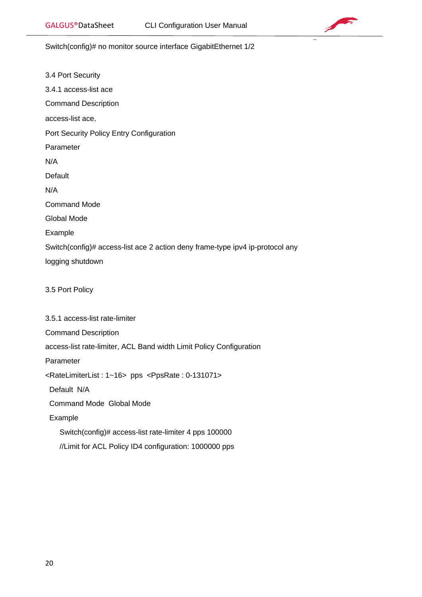

Switch(config)# no monitor source interface GigabitEthernet 1/2

<span id="page-19-3"></span><span id="page-19-2"></span><span id="page-19-1"></span><span id="page-19-0"></span>

| 3.4 Port Security                                                                   |
|-------------------------------------------------------------------------------------|
| 3.4.1 access-list ace                                                               |
| <b>Command Description</b>                                                          |
| access-list ace,                                                                    |
| Port Security Policy Entry Configuration                                            |
| Parameter                                                                           |
| N/A                                                                                 |
| Default                                                                             |
| N/A                                                                                 |
| <b>Command Mode</b>                                                                 |
| <b>Global Mode</b>                                                                  |
| Example                                                                             |
| Switch(config)# access-list ace 2 action deny frame-type ipv4 ip-protocol any       |
| logging shutdown                                                                    |
|                                                                                     |
| 3.5 Port Policy                                                                     |
|                                                                                     |
| 3.5.1 access-list rate-limiter                                                      |
| <b>Command Description</b>                                                          |
| access-list rate-limiter, ACL Band width Limit Policy Configuration                 |
| Parameter                                                                           |
| <ratelimiterlist: 1~16=""> pps <ppsrate: 0-131071=""></ppsrate:></ratelimiterlist:> |
| Default N/A                                                                         |
| <b>Command Mode Global Mode</b>                                                     |
| Example                                                                             |
| Switch(config)# access-list rate-limiter 4 pps 100000                               |
| //Limit for ACL Policy ID4 configuration: 1000000 pps                               |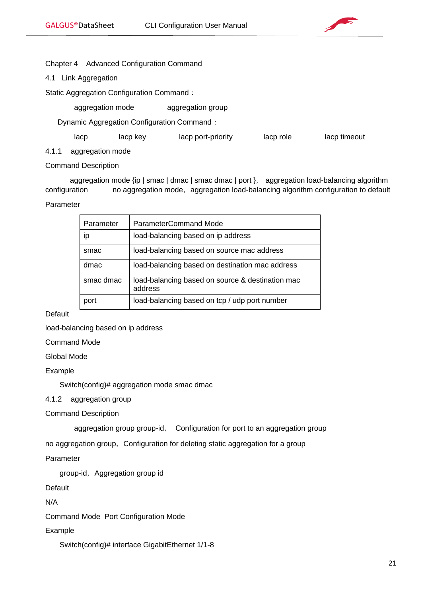

# <span id="page-20-0"></span>Chapter 4 Advanced Configuration Command

<span id="page-20-1"></span>4.1 Link Aggregation

Static Aggregation Configuration Command:

aggregation mode aggregation group

Dynamic Aggregation Configuration Command:

lacp lacp key lacp port-priority lacp role lacp timeout

<span id="page-20-2"></span>4.1.1 aggregation mode

Command Description

aggregation mode {ip | smac | dmac | smac dmac | port }, aggregation load-balancing algorithm configuration no aggregation mode, aggregation load-balancing algorithm configuration to default

# Parameter

| Parameter | <b>ParameterCommand Mode</b>                                |
|-----------|-------------------------------------------------------------|
| İD        | load-balancing based on ip address                          |
| smac      | load-balancing based on source mac address                  |
| dmac      | load-balancing based on destination mac address             |
| smac dmac | load-balancing based on source & destination mac<br>address |
| port      | load-balancing based on tcp / udp port number               |

Default

load-balancing based on ip address

Command Mode

Global Mode

Example

Switch(config)# aggregation mode smac dmac

<span id="page-20-3"></span>4.1.2 aggregation group

Command Description

aggregation group group-id, Configuration for port to an aggregation group

no aggregation group, Configuration for deleting static aggregation for a group

Parameter

group-id, Aggregation group id

Default

N/A

Command Mode Port Configuration Mode

Example

Switch(config)# interface GigabitEthernet 1/1-8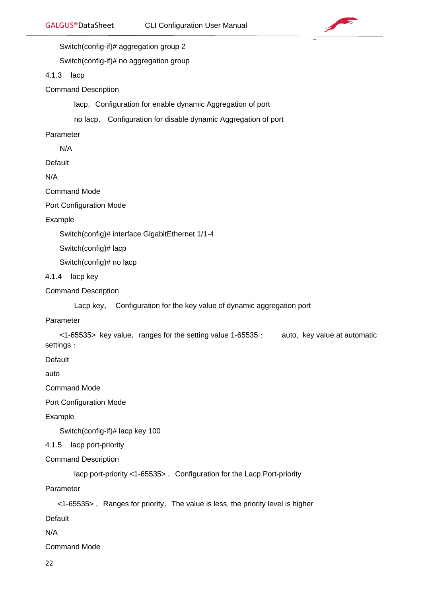

Switch(config-if)# aggregation group 2

Switch(config-if)# no aggregation group

#### <span id="page-21-0"></span>4.1.3 lacp

Command Description

lacp, Configuration for enable dynamic Aggregation of port

no lacp, Configuration for disable dynamic Aggregation of port

Parameter

N/A

**Default** 

N/A

Command Mode

Port Configuration Mode

Example

Switch(config)# interface GigabitEthernet 1/1-4

Switch(config)# lacp

Switch(config)# no lacp

- <span id="page-21-1"></span>4.1.4 lacp key
- Command Description

Lacp key, Configuration for the key value of dynamic aggregation port

#### Parameter

 $\langle$  -65535> key value, ranges for the setting value 1-65535; auto, key value at automatic settings;

Default

auto

Command Mode

Port Configuration Mode

Example

Switch(config-if)# lacp key 100

#### <span id="page-21-2"></span>4.1.5 lacp port-priority

Command Description

lacp port-priority <1-65535>, Configuration for the Lacp Port-priority

Parameter

 $\langle$  1-65535>, Ranges for priority, The value is less, the priority level is higher

**Default** 

N/A

Command Mode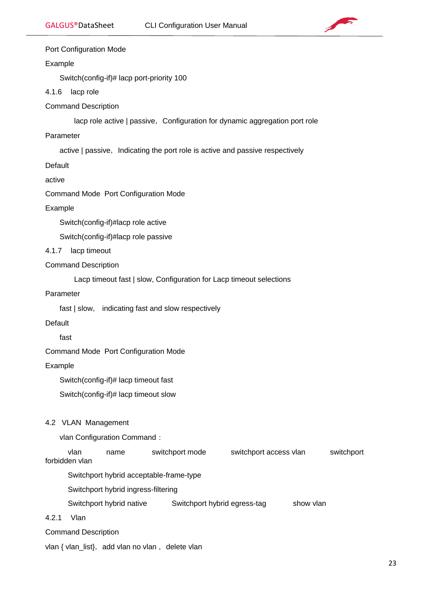

#### Port Configuration Mode

#### Example

Switch(config-if)# lacp port-priority 100

#### <span id="page-22-0"></span>4.1.6 lacp role

Command Description

lacp role active | passive, Configuration for dynamic aggregation port role

# Parameter

active | passive, Indicating the port role is active and passive respectively

**Default** 

active

Command Mode Port Configuration Mode

#### Example

Switch(config-if)#lacp role active

Switch(config-if)#lacp role passive

#### <span id="page-22-1"></span>4.1.7 lacp timeout

#### Command Description

Lacp timeout fast | slow, Configuration for Lacp timeout selections

# Parameter

fast | slow, indicating fast and slow respectively

# Default

fast

Command Mode Port Configuration Mode

Example

Switch(config-if)# lacp timeout fast

Switch(config-if)# lacp timeout slow

# <span id="page-22-2"></span>4.2 VLAN Management

vlan Configuration Command:

 vlan name switchport mode switchport access vlan switchport forbidden vlan

Switchport hybrid acceptable-frame-type

Switchport hybrid ingress-filtering

Switchport hybrid native Switchport hybrid egress-tag show vlan

- <span id="page-22-3"></span>4.2.1 Vlan
- Command Description

vlan { vlan\_list}, add vlan no vlan, delete vlan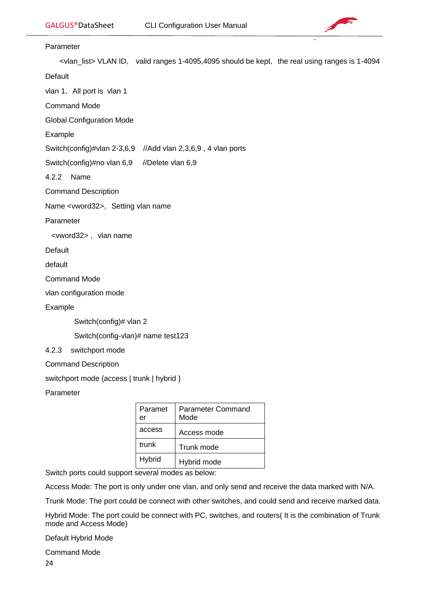

#### Parameter

<vlan\_list> VLAN ID, valid ranges 1-4095,4095 should be kept, the real using ranges is 1-4094

Default

vlan 1, All port is vlan 1

Command Mode

Global Configuration Mode

Example

Switch(config)#vlan 2-3,6,9 //Add vlan 2,3,6,9 , 4 vlan ports

Switch(config)#no vlan 6,9 //Delete vlan 6,9

<span id="page-23-0"></span>4.2.2 Name

Command Description

Name <vword32>, Setting vlan name

Parameter

<vword32>, vlan name

**Default** 

default

Command Mode

vlan configuration mode

Example

Switch(config)# vlan 2

Switch(config-vlan)# name test123

<span id="page-23-1"></span>4.2.3 switchport mode

Command Description

switchport mode {access | trunk | hybrid }

Parameter

| Paramet<br>er | Parameter Command<br>Mode |
|---------------|---------------------------|
| access        | Access mode               |
| trunk         | Trunk mode                |
| Hybrid        | Hybrid mode               |

Switch ports could support several modes as below:

Access Mode: The port is only under one vlan, and only send and receive the data marked with N/A.

Trunk Mode: The port could be connect with other switches, and could send and receive marked data.

Hybrid Mode: The port could be connect with PC, switches, and routers( It is the combination of Trunk mode and Access Mode)

Default Hybrid Mode

24 Command Mode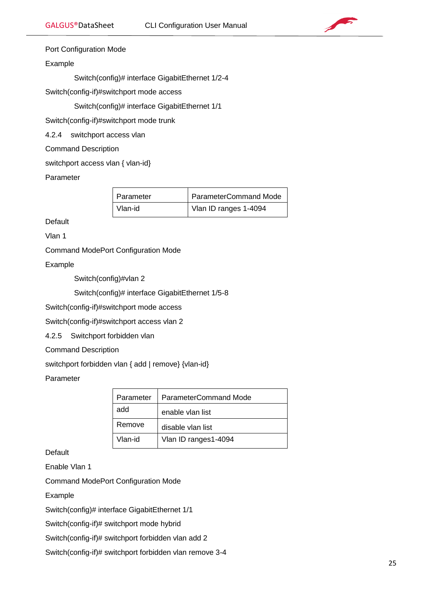

# Port Configuration Mode

# Example

Switch(config)# interface GigabitEthernet 1/2-4

Switch(config-if)#switchport mode access

Switch(config)# interface GigabitEthernet 1/1

Switch(config-if)#switchport mode trunk

<span id="page-24-0"></span>4.2.4 switchport access vlan

Command Description

switchport access vlan { vlan-id}

Parameter

| Parameter | <b>ParameterCommand Mode</b> |
|-----------|------------------------------|
| Vlan-id   | Vlan ID ranges 1-4094        |

**Default** 

Vlan 1

Command ModePort Configuration Mode

Example

Switch(config)#vlan 2

Switch(config)# interface GigabitEthernet 1/5-8

Switch(config-if)#switchport mode access

Switch(config-if)#switchport access vlan 2

<span id="page-24-1"></span>4.2.5 Switchport forbidden vlan

Command Description

switchport forbidden vlan { add | remove} {vlan-id}

Parameter

| Parameter | ParameterCommand Mode |  |
|-----------|-----------------------|--|
| add       | enable vlan list      |  |
| Remove    | disable vlan list     |  |
| Vlan-id   | Vlan ID ranges1-4094  |  |

**Default** 

Enable Vlan 1

Command ModePort Configuration Mode

Example

Switch(config)# interface GigabitEthernet 1/1

Switch(config-if)# switchport mode hybrid

Switch(config-if)# switchport forbidden vlan add 2

Switch(config-if)# switchport forbidden vlan remove 3-4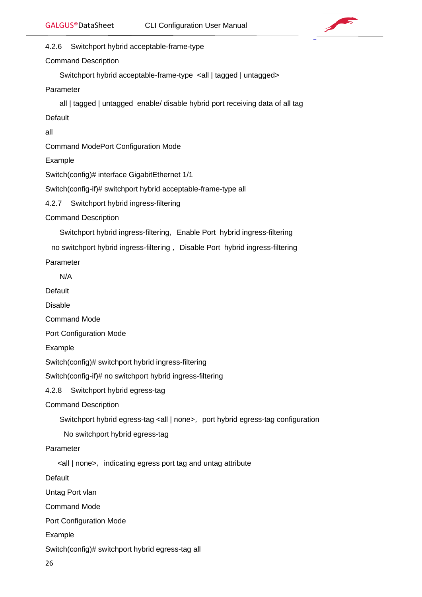

<span id="page-25-0"></span>4.2.6 Switchport hybrid acceptable-frame-type

Command Description

Switchport hybrid acceptable-frame-type <all | tagged | untagged>

Parameter

all | tagged | untagged enable/ disable hybrid port receiving data of all tag

**Default** 

all

Command ModePort Configuration Mode

Example

Switch(config)# interface GigabitEthernet 1/1

Switch(config-if)# switchport hybrid acceptable-frame-type all

<span id="page-25-1"></span>4.2.7 Switchport hybrid ingress-filtering

Command Description

Switchport hybrid ingress-filtering, Enable Port hybrid ingress-filtering

no switchport hybrid ingress-filtering, Disable Port hybrid ingress-filtering

Parameter

N/A

**Default** 

Disable

Command Mode

Port Configuration Mode

Example

Switch(config)# switchport hybrid ingress-filtering

Switch(config-if)# no switchport hybrid ingress-filtering

<span id="page-25-2"></span>4.2.8 Switchport hybrid egress-tag

Command Description

Switchport hybrid egress-tag <all | none>, port hybrid egress-tag configuration

No switchport hybrid egress-tag

Parameter

<all | none>,indicating egress port tag and untag attribute

Default

Untag Port vlan

Command Mode

Port Configuration Mode

Example

Switch(config)# switchport hybrid egress-tag all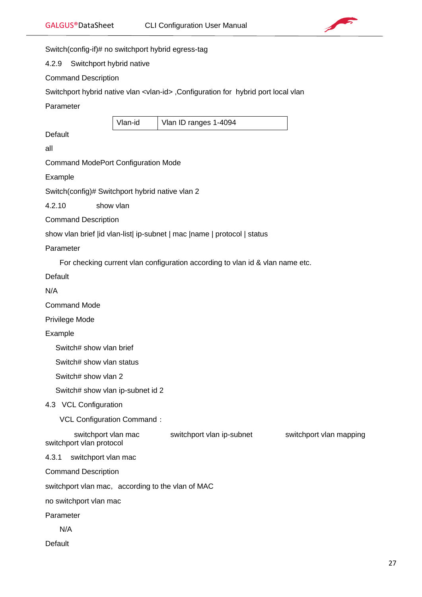

Switch(config-if)# no switchport hybrid egress-tag

<span id="page-26-0"></span>4.2.9 Switchport hybrid native

Command Description

Switchport hybrid native vlan <vlan-id>, Configuration for hybrid port local vlan

Parameter

<span id="page-26-1"></span>Vlan-id Vlan ID ranges 1-4094 Default all Command ModePort Configuration Mode Example Switch(config)# Switchport hybrid native vlan 2 4.2.10 show vlan Command Description show vlan brief |id vlan-list| ip-subnet | mac |name | protocol | status Parameter For checking current vlan configuration according to vlan id & vlan name etc. Default N/A Command Mode Privilege Mode Example Switch# show vlan brief Switch# show vlan status Switch# show vlan 2 Switch# show vlan ip-subnet id 2 4.3 VCL Configuration VCL Configuration Command: switchport vlan mac switchport vlan ip-subnet switchport vlan mapping switchport vlan protocol 4.3.1 switchport vlan mac Command Description switchport vlan mac, according to the vlan of MAC no switchport vlan mac Parameter N/A

<span id="page-26-3"></span><span id="page-26-2"></span>**Default**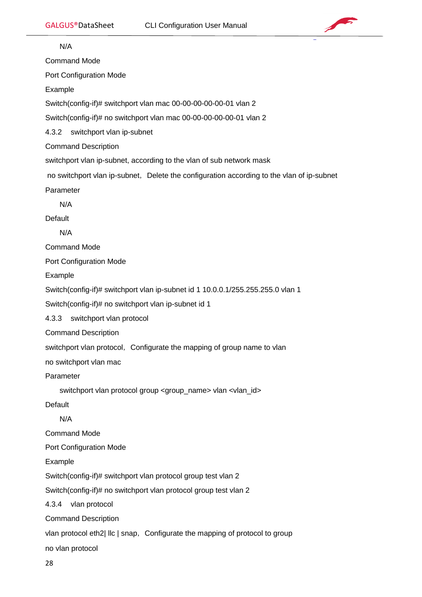

<span id="page-27-2"></span><span id="page-27-1"></span><span id="page-27-0"></span> $\overline{\phantom{a}}$  N/A Command Mode Port Configuration Mode Example Switch(config-if)# switchport vlan mac 00-00-00-00-00-01 vlan 2 Switch(config-if)# no switchport vlan mac 00-00-00-00-00-01 vlan 2 4.3.2 switchport vlan ip-subnet Command Description switchport vlan ip-subnet, according to the vlan of sub network mask no switchport vlan ip-subnet, Delete the configuration according to the vlan of ip-subnet Parameter N/A **Default**  N/A Command Mode Port Configuration Mode Example Switch(config-if)# switchport vlan ip-subnet id 1 10.0.0.1/255.255.255.0 vlan 1 Switch(config-if)# no switchport vlan ip-subnet id 1 4.3.3 switchport vlan protocol Command Description switchport vlan protocol, Configurate the mapping of group name to vlan no switchport vlan mac Parameter switchport vlan protocol group <group\_name> vlan <vlan\_id> Default N/A Command Mode Port Configuration Mode Example Switch(config-if)# switchport vlan protocol group test vlan 2 Switch(config-if)# no switchport vlan protocol group test vlan 2 4.3.4 vlan protocol Command Description vlan protocol eth2| llc | snap, Configurate the mapping of protocol to group no vlan protocol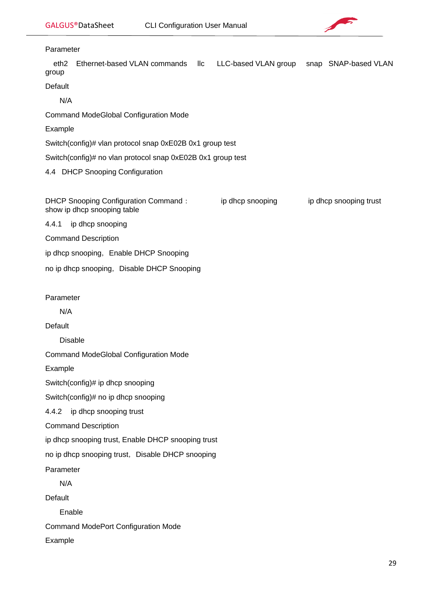

<span id="page-28-2"></span><span id="page-28-1"></span><span id="page-28-0"></span>

| Parameter                 |                                                                     |                 |                                           |                        |
|---------------------------|---------------------------------------------------------------------|-----------------|-------------------------------------------|------------------------|
| eth <sub>2</sub><br>group | Ethernet-based VLAN commands                                        | $\mathsf{II}$ c | LLC-based VLAN group snap SNAP-based VLAN |                        |
| Default                   |                                                                     |                 |                                           |                        |
| N/A                       |                                                                     |                 |                                           |                        |
|                           | <b>Command ModeGlobal Configuration Mode</b>                        |                 |                                           |                        |
| Example                   |                                                                     |                 |                                           |                        |
|                           | Switch(config)# vlan protocol snap 0xE02B 0x1 group test            |                 |                                           |                        |
|                           | Switch(config)# no vlan protocol snap 0xE02B 0x1 group test         |                 |                                           |                        |
|                           | 4.4 DHCP Snooping Configuration                                     |                 |                                           |                        |
|                           | DHCP Snooping Configuration Command:<br>show ip dhcp snooping table |                 | ip dhcp snooping                          | ip dhcp snooping trust |
| 4.4.1                     | ip dhcp snooping                                                    |                 |                                           |                        |
|                           | <b>Command Description</b>                                          |                 |                                           |                        |
|                           | ip dhcp snooping, Enable DHCP Snooping                              |                 |                                           |                        |
|                           | no ip dhcp snooping, Disable DHCP Snooping                          |                 |                                           |                        |
| Parameter                 |                                                                     |                 |                                           |                        |
| N/A                       |                                                                     |                 |                                           |                        |
| Default                   |                                                                     |                 |                                           |                        |
|                           | <b>Disable</b>                                                      |                 |                                           |                        |
|                           | <b>Command ModeGlobal Configuration Mode</b>                        |                 |                                           |                        |
| Example                   |                                                                     |                 |                                           |                        |
|                           | Switch(config)# ip dhcp snooping                                    |                 |                                           |                        |
|                           | Switch(config)# no ip dhcp snooping                                 |                 |                                           |                        |
| 4.4.2                     | ip dhcp snooping trust                                              |                 |                                           |                        |
|                           | <b>Command Description</b>                                          |                 |                                           |                        |
|                           | ip dhcp snooping trust, Enable DHCP snooping trust                  |                 |                                           |                        |
|                           | no ip dhcp snooping trust, Disable DHCP snooping                    |                 |                                           |                        |
| Parameter                 |                                                                     |                 |                                           |                        |
| N/A                       |                                                                     |                 |                                           |                        |
| Default                   |                                                                     |                 |                                           |                        |
| Enable                    |                                                                     |                 |                                           |                        |
|                           | <b>Command ModePort Configuration Mode</b>                          |                 |                                           |                        |
| Example                   |                                                                     |                 |                                           |                        |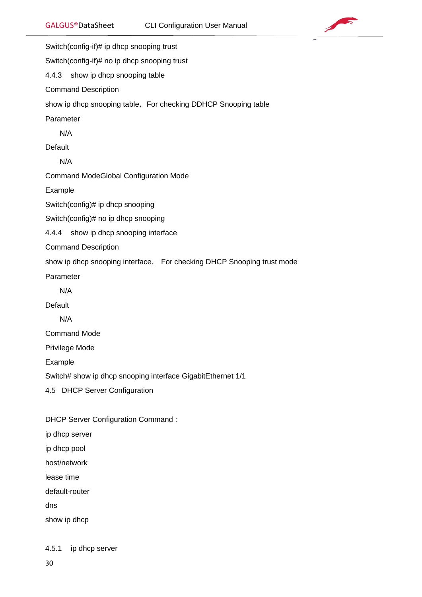

<span id="page-29-1"></span><span id="page-29-0"></span>Switch(config-if)# ip dhcp snooping trust Switch(config-if)# no ip dhcp snooping trust 4.4.3 show ip dhcp snooping table Command Description show ip dhcp snooping table, For checking DDHCP Snooping table Parameter N/A **Default**  N/A Command ModeGlobal Configuration Mode Example Switch(config)# ip dhcp snooping Switch(config)# no ip dhcp snooping 4.4.4 show ip dhcp snooping interface Command Description show ip dhcp snooping interface, For checking DHCP Snooping trust mode Parameter N/A **Default**  N/A Command Mode Privilege Mode Example Switch# show ip dhcp snooping interface GigabitEthernet 1/1 4.5 DHCP Server Configuration DHCP Server Configuration Command: ip dhcp server ip dhcp pool

<span id="page-29-2"></span>host/network

lease time

default-router

dns

show ip dhcp

<span id="page-29-3"></span>4.5.1 ip dhcp server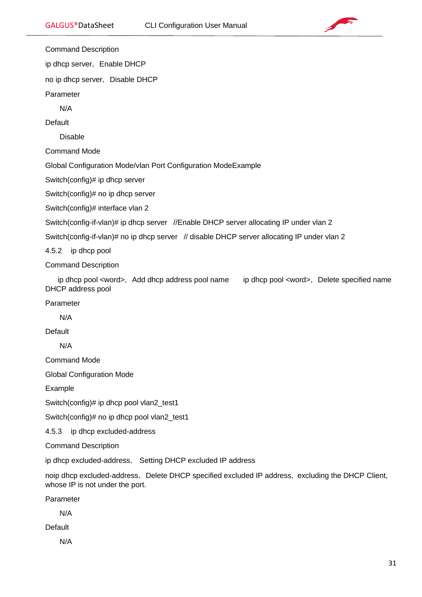

Command Description

ip dhcp server, Enable DHCP

no ip dhcp server, Disable DHCP

Parameter

N/A

**Default** 

Disable

Command Mode

Global Configuration Mode/vlan Port Configuration ModeExample

Switch(config)# ip dhcp server

Switch(config)# no ip dhcp server

Switch(config)# interface vlan 2

Switch(config-if-vlan)# ip dhcp server //Enable DHCP server allocating IP under vlan 2

Switch(config-if-vlan)# no ip dhcp server // disable DHCP server allocating IP under vlan 2

<span id="page-30-0"></span>4.5.2 ip dhcp pool

Command Description

ip dhcp pool <word>, Add dhcp address pool name ip dhcp pool <word>, Delete specified name DHCP address pool

Parameter

N/A

**Default** 

N/A

Command Mode

Global Configuration Mode

Example

Switch(config)# ip dhcp pool vlan2\_test1

Switch(config)# no ip dhcp pool vlan2\_test1

<span id="page-30-1"></span>4.5.3 ip dhcp excluded-address

Command Description

ip dhcp excluded-address, Setting DHCP excluded IP address

noip dhcp excluded-address, Delete DHCP specified excluded IP address, excluding the DHCP Client, whose IP is not under the port.

Parameter

N/A

**Default** 

N/A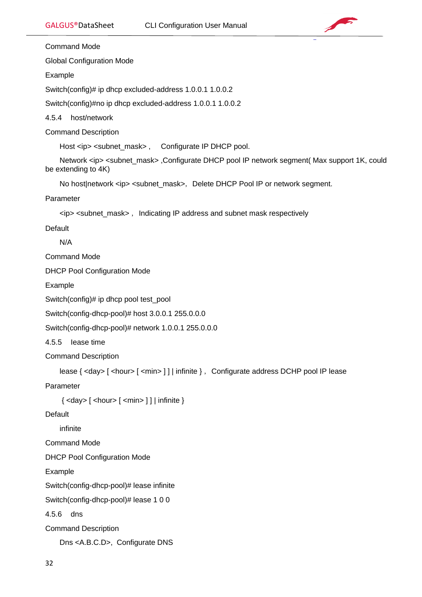

Command Mode

Global Configuration Mode

Example

Switch(config)# ip dhcp excluded-address 1.0.0.1 1.0.0.2

Switch(config)#no ip dhcp excluded-address 1.0.0.1 1.0.0.2

<span id="page-31-0"></span>4.5.4 host/network

Command Description

Host <ip> <subnet\_mask>, Configurate IP DHCP pool.

 Network <ip> <subnet\_mask> ,Configurate DHCP pool IP network segment( Max support 1K, could be extending to 4K)

No host|network <ip> <subnet\_mask>, Delete DHCP Pool IP or network segment.

Parameter

<ip> <subnet\_mask> ,Indicating IP address and subnet mask respectively

Default

N/A

Command Mode

DHCP Pool Configuration Mode

Example

Switch(config)# ip dhcp pool test\_pool

Switch(config-dhcp-pool)# host 3.0.0.1 255.0.0.0

Switch(config-dhcp-pool)# network 1.0.0.1 255.0.0.0

<span id="page-31-1"></span>4.5.5 Iease time

Command Description

```
lease { <day> [ <hour> [ <min> ] ] | infinite } , Configurate address DCHP pool IP lease
```
Parameter

 $\{ <$ day>  $[ <$ hour>  $[ <$ min>  $]$  $\}$ | infinite  $\}$ 

**Default** 

infinite

Command Mode

DHCP Pool Configuration Mode

Example

Switch(config-dhcp-pool)# lease infinite

Switch(config-dhcp-pool)# lease 1 0 0

<span id="page-31-2"></span>4.5.6 dns

Command Description

Dns <A.B.C.D>, Configurate DNS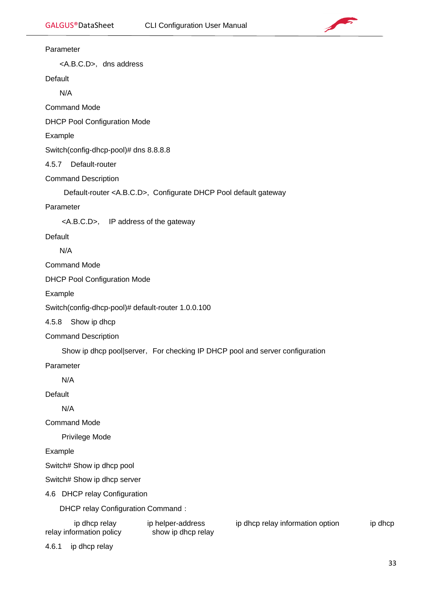

#### Parameter

<A.B.C.D>, dns address

Default

N/A

Command Mode

DHCP Pool Configuration Mode

Example

Switch(config-dhcp-pool)# dns 8.8.8.8

<span id="page-32-0"></span>4.5.7 Default-router

Command Description

Default-router <A.B.C.D>, Configurate DHCP Pool default gateway

Parameter

<A.B.C.D>, IP address of the gateway

Default

N/A

Command Mode

DHCP Pool Configuration Mode

Example

Switch(config-dhcp-pool)# default-router 1.0.0.100

<span id="page-32-1"></span>4.5.8 Show ip dhcp

Command Description

Show ip dhcp pool|server, For checking IP DHCP pool and server configuration

Parameter

N/A

Default

N/A

Command Mode

Privilege Mode

Example

Switch# Show ip dhcp pool

Switch# Show ip dhcp server

<span id="page-32-2"></span>4.6 DHCP relay Configuration

DHCP relay Configuration Command:

| ip dhcp relay            | ip helper-address  | ip dhcp relay information option | ip dhcp |
|--------------------------|--------------------|----------------------------------|---------|
| relay information policy | show ip dhcp relay |                                  |         |

<span id="page-32-3"></span>4.6.1 ip dhcp relay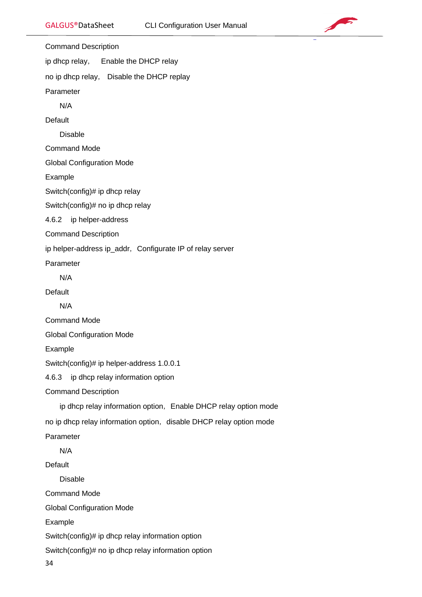

<span id="page-33-0"></span>Command Description ip dhcp relay, Enable the DHCP relay no ip dhcp relay, Disable the DHCP replay Parameter N/A Default Disable Command Mode Global Configuration Mode Example Switch(config)# ip dhcp relay Switch(config)# no ip dhcp relay 4.6.2 ip helper-address Command Description ip helper-address ip\_addr, Configurate IP of relay server Parameter N/A Default N/A Command Mode Global Configuration Mode Example Switch(config)# ip helper-address 1.0.0.1 4.6.3 ip dhcp relay information option Command Description ip dhcp relay information option, Enable DHCP relay option mode no ip dhcp relay information option, disable DHCP relay option mode Parameter N/A Default Disable Command Mode Global Configuration Mode Example Switch(config)# ip dhcp relay information option Switch(config)# no ip dhcp relay information option

<span id="page-33-1"></span>34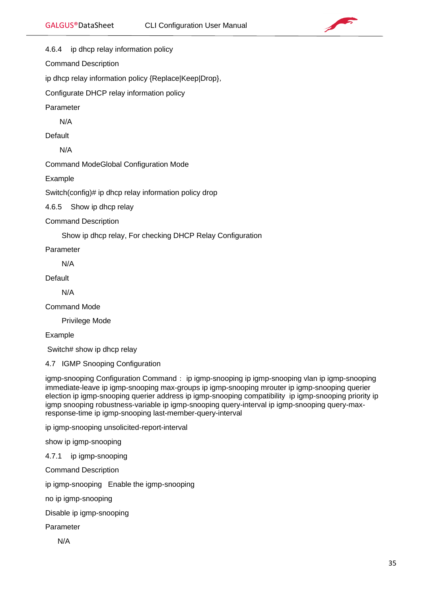

<span id="page-34-0"></span>4.6.4 ip dhcp relay information policy

Command Description

ip dhcp relay information policy {Replace|Keep|Drop},

Configurate DHCP relay information policy

Parameter

N/A

Default

N/A

Command ModeGlobal Configuration Mode

Example

Switch(config)# ip dhcp relay information policy drop

<span id="page-34-1"></span>4.6.5 Show ip dhcp relay

Command Description

Show ip dhcp relay, For checking DHCP Relay Configuration

Parameter

N/A

Default

N/A

Command Mode

Privilege Mode

Example

Switch# show ip dhcp relay

<span id="page-34-2"></span>4.7 IGMP Snooping Configuration

igmp-snooping Configuration Command: ip igmp-snooping ip igmp-snooping vlan ip igmp-snooping immediate-leave ip igmp-snooping max-groups ip igmp-snooping mrouter ip igmp-snooping querier election ip igmp-snooping querier address ip igmp-snooping compatibility ip igmp-snooping priority ip igmp snooping robustness-variable ip igmp-snooping query-interval ip igmp-snooping query-maxresponse-time ip igmp-snooping last-member-query-interval

ip igmp-snooping unsolicited-report-interval

show ip igmp-snooping

<span id="page-34-3"></span>4.7.1 ip igmp-snooping

Command Description

ip igmp-snooping Enable the igmp-snooping

no ip igmp-snooping

Disable ip igmp-snooping

Parameter

N/A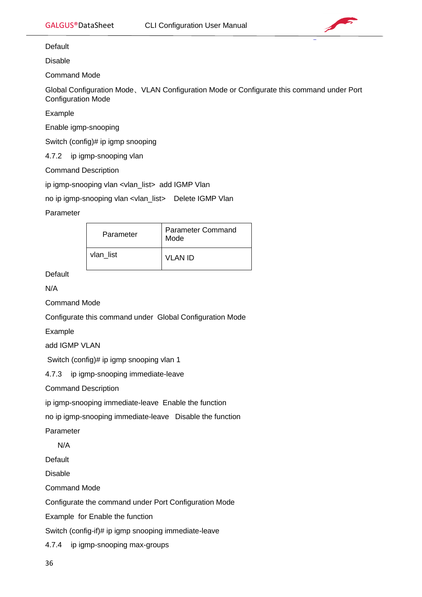

Default

Disable

Command Mode

Global Configuration Mode、VLAN Configuration Mode or Configurate this command under Port Configuration Mode

Example

Enable igmp-snooping

Switch (config)# ip igmp snooping

<span id="page-35-0"></span>4.7.2 ip igmp-snooping vlan

Command Description

ip igmp-snooping vlan <vlan\_list> add IGMP Vlan

no ip igmp-snooping vlan <vlan\_list> Delete IGMP Vlan

Parameter

| Parameter | <b>Parameter Command</b><br>Mode |
|-----------|----------------------------------|
| vlan list | VLAN ID                          |

**Default** 

N/A

Command Mode

Configurate this command under Global Configuration Mode

Example

add IGMP VLAN

Switch (config)# ip igmp snooping vlan 1

<span id="page-35-1"></span>4.7.3 ip igmp-snooping immediate-leave

Command Description

ip igmp-snooping immediate-leave Enable the function

no ip igmp-snooping immediate-leave Disable the function

Parameter

N/A

Default

Disable

Command Mode

Configurate the command under Port Configuration Mode

Example for Enable the function

Switch (config-if)# ip igmp snooping immediate-leave

<span id="page-35-2"></span>4.7.4 ip igmp-snooping max-groups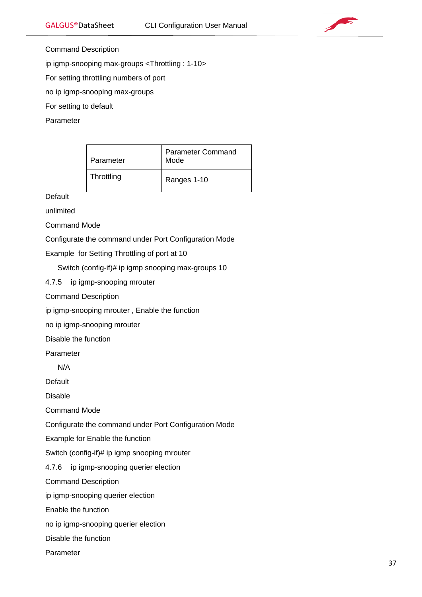

Command Description

ip igmp-snooping max-groups <Throttling : 1-10>

For setting throttling numbers of port

no ip igmp-snooping max-groups

For setting to default

Parameter

| Parameter  | <b>Parameter Command</b><br>Mode |
|------------|----------------------------------|
| Throttling | Ranges 1-10                      |

**Default** 

unlimited

Command Mode

Configurate the command under Port Configuration Mode

Example for Setting Throttling of port at 10

Switch (config-if)# ip igmp snooping max-groups 10

4.7.5 ip igmp-snooping mrouter

Command Description

ip igmp-snooping mrouter , Enable the function

no ip igmp-snooping mrouter

Disable the function

Parameter

N/A

Default

Disable

Command Mode

Configurate the command under Port Configuration Mode

Example for Enable the function

Switch (config-if)# ip igmp snooping mrouter

4.7.6 ip igmp-snooping querier election

Command Description

ip igmp-snooping querier election

Enable the function

no ip igmp-snooping querier election

Disable the function

Parameter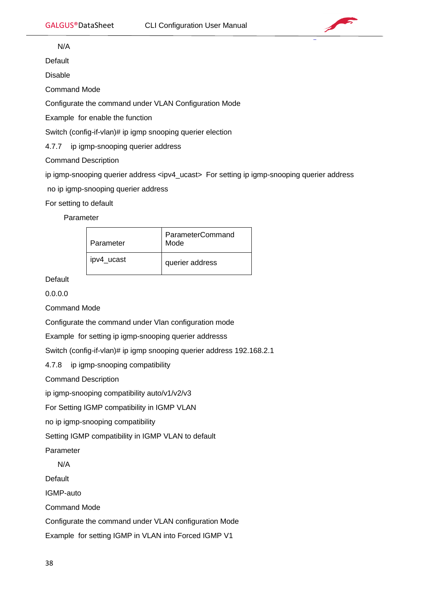

N/A

Default

Disable

Command Mode

Configurate the command under VLAN Configuration Mode

Example for enable the function

Switch (config-if-vlan)# ip igmp snooping querier election

4.7.7 ip igmp-snooping querier address

Command Description

ip igmp-snooping querier address <ipv4\_ucast> For setting ip igmp-snooping querier address

no ip igmp-snooping querier address

For setting to default

Parameter

| Parameter  | ParameterCommand<br>Mode |
|------------|--------------------------|
| ipv4 ucast | querier address          |

**Default** 

0.0.0.0

Command Mode

Configurate the command under Vlan configuration mode

Example for setting ip igmp-snooping querier addresss

Switch (config-if-vlan)# ip igmp snooping querier address 192.168.2.1

4.7.8 ip igmp-snooping compatibility

Command Description

ip igmp-snooping compatibility auto/v1/v2/v3

For Setting IGMP compatibility in IGMP VLAN

no ip igmp-snooping compatibility

Setting IGMP compatibility in IGMP VLAN to default

Parameter

N/A

**Default** 

IGMP-auto

Command Mode

Configurate the command under VLAN configuration Mode

Example for setting IGMP in VLAN into Forced IGMP V1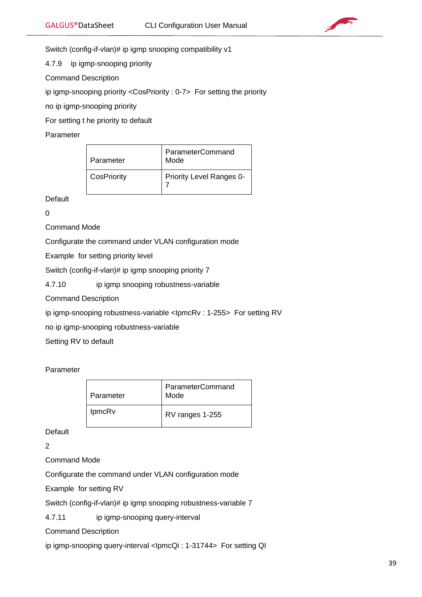

Switch (config-if-vlan)# ip igmp snooping compatibility v1

4.7.9 ip igmp-snooping priority

Command Description

ip igmp-snooping priority <CosPriority : 0-7> For setting the priority

no ip igmp-snooping priority

For setting t he priority to default

Parameter

| Parameter   | ParameterCommand<br>Mode        |
|-------------|---------------------------------|
| CosPriority | <b>Priority Level Ranges 0-</b> |

Default

0

Command Mode

Configurate the command under VLAN configuration mode

Example for setting priority level

Switch (config-if-vlan)# ip igmp snooping priority 7

4.7.10 ip igmp snooping robustness-variable

Command Description

ip igmp-snooping robustness-variable <IpmcRv : 1-255> For setting RV

no ip igmp-snooping robustness-variable

Setting RV to default

Parameter

| Parameter     | ParameterCommand<br>Mode |
|---------------|--------------------------|
| <b>IpmcRv</b> | RV ranges 1-255          |

**Default** 

2

Command Mode

Configurate the command under VLAN configuration mode

Example for setting RV

Switch (config-if-vlan)# ip igmp snooping robustness-variable 7

4.7.11 ip igmp-snooping query-interval

Command Description

ip igmp-snooping query-interval <IpmcQi : 1-31744> For setting QI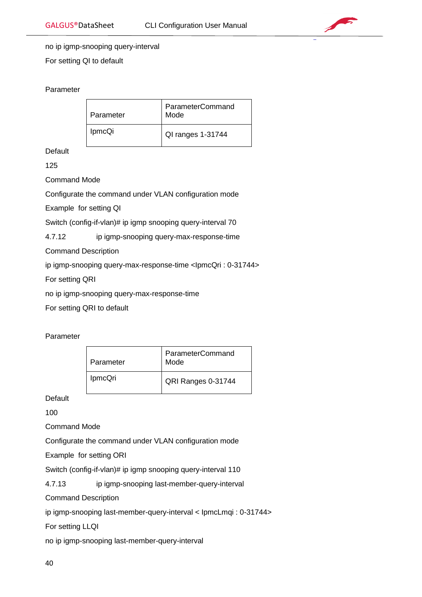

# no ip igmp-snooping query-interval

For setting QI to default

# Parameter

| Parameter     | ParameterCommand<br>Mode |
|---------------|--------------------------|
| <b>IpmcQi</b> | QI ranges 1-31744        |

**Default** 

125

Command Mode

Configurate the command under VLAN configuration mode

Example for setting QI

Switch (config-if-vlan)# ip igmp snooping query-interval 70

4.7.12 ip igmp-snooping query-max-response-time

Command Description

ip igmp-snooping query-max-response-time <IpmcQri : 0-31744>

For setting QRI

no ip igmp-snooping query-max-response-time

For setting QRI to default

### Parameter

| Parameter | ParameterCommand<br>Mode |
|-----------|--------------------------|
| IpmcQri   | QRI Ranges 0-31744       |

Default

100

Command Mode

Configurate the command under VLAN configuration mode

Example for setting ORI

Switch (config-if-vlan)# ip igmp snooping query-interval 110

4.7.13 ip igmp-snooping last-member-query-interval

Command Description

ip igmp-snooping last-member-query-interval < IpmcLmqi : 0-31744>

For setting LLQI

no ip igmp-snooping last-member-query-interval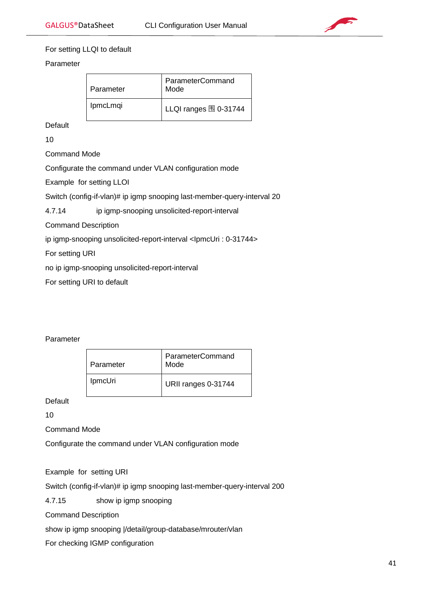

# For setting LLQI to default

# Parameter

| Parameter       | ParameterCommand<br>Mode       |
|-----------------|--------------------------------|
| <b>IpmcLmqi</b> | LLQI ranges $\boxplus$ 0-31744 |

**Default** 

10

Command Mode

Configurate the command under VLAN configuration mode

Example for setting LLOI

Switch (config-if-vlan)# ip igmp snooping last-member-query-interval 20

4.7.14 ip igmp-snooping unsolicited-report-interval

Command Description

ip igmp-snooping unsolicited-report-interval <IpmcUri : 0-31744>

For setting URI

no ip igmp-snooping unsolicited-report-interval

For setting URI to default

# Parameter

| Parameter      | ParameterCommand<br>Mode |
|----------------|--------------------------|
| <b>IpmcUri</b> | URII ranges 0-31744      |

Default

10

Command Mode

Configurate the command under VLAN configuration mode

Example for setting URI

Switch (config-if-vlan)# ip igmp snooping last-member-query-interval 200

4.7.15 show ip igmp snooping

Command Description

show ip igmp snooping |/detail/group-database/mrouter/vlan

For checking IGMP configuration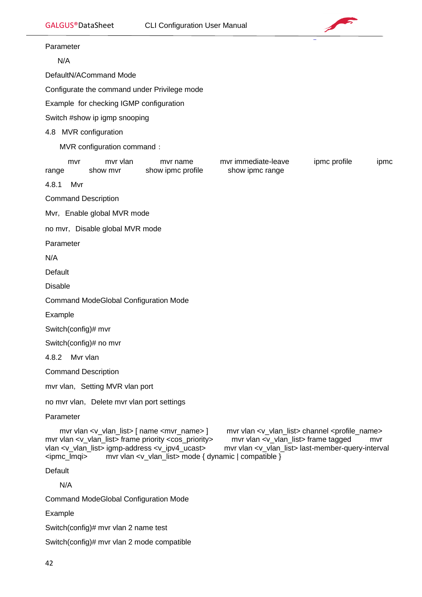

Parameter

N/A

DefaultN/ACommand Mode

Configurate the command under Privilege mode

Example for checking IGMP configuration

Switch #show ip igmp snooping

### 4.8 MVR configuration

MVR configuration command:

| mvr   | mvr vlan | mvr name          | mvr immediate-leave | ipmc profile | <b>IDMC</b> |
|-------|----------|-------------------|---------------------|--------------|-------------|
| range | show myr | show ipmc profile | show ipmc range     |              |             |

4.8.1 Mvr

Command Description

Mvr, Enable global MVR mode

no mvr, Disable global MVR mode

Parameter

N/A

**Default** 

Disable

Command ModeGlobal Configuration Mode

Example

Switch(config)# mvr

Switch(config)# no mvr

4.8.2 Mvr vlan

Command Description

mvr vlan, Setting MVR vlan port

no mvr vlan, Delete mvr vlan port settings

Parameter

mvr vlan <v\_vlan\_list> [ name <mvr\_name> ] mvr vlan <v\_vlan\_list> channel <profile\_name> mvr vlan <v\_vlan\_list> frame priority <cos\_priority> mvr vlan <v\_vlan\_list> frame tagged mvr vlan <v\_vlan\_list> igmp-address <v\_ipv4\_ucast> mvr vlan <v\_vlan\_list> last-member-query-interval <ipmc\_lmqi> mvr vlan <v\_vlan\_list> mode { dynamic | compatible }

Default

N/A

Command ModeGlobal Configuration Mode

Example

Switch(config)# mvr vlan 2 name test

Switch(config)# mvr vlan 2 mode compatible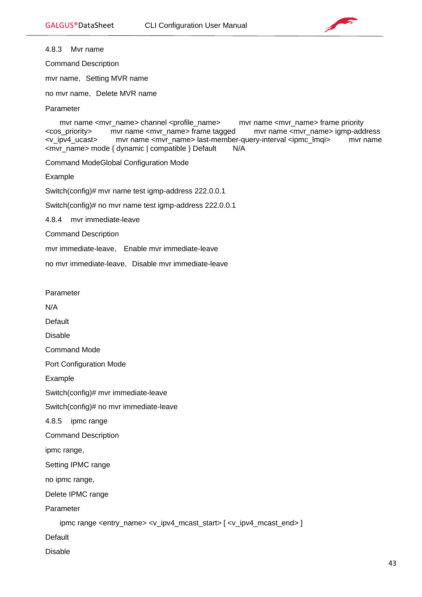

4.8.3 Mvr name

Command Description

mvr name, Setting MVR name

no mvr name, Delete MVR name

Parameter

mvr name <mvr name> channel <profile\_name> mvr name <mvr name> frame priority <cos\_priority> mvr name <mvr\_name> frame tagged mvr name <mvr\_name> igmp-address <v\_ipv4\_ucast> mvr name <mvr\_name> last-member-query-interval <ipmc\_lmqi> mvr name <mvr\_name> mode { dynamic | compatible } Default N/A

Command ModeGlobal Configuration Mode

Example

Switch(config)# mvr name test igmp-address 222.0.0.1

Switch(config)# no mvr name test igmp-address 222.0.0.1

4.8.4 mvr immediate-leave

Command Description

mvr immediate-leave, Enable mvr immediate-leave

no mvr immediate-leave, Disable mvr immediate-leave

Parameter

N/A

Default

Disable

Command Mode

Port Configuration Mode

Example

Switch(config)# mvr immediate-leave

Switch(config)# no mvr immediate-leave

4.8.5 ipmc range

Command Description

ipmc range,

Setting IPMC range

no ipmc range,

Delete IPMC range

Parameter

ipmc range <entry\_name> <v\_ipv4\_mcast\_start> [ <v\_ipv4\_mcast\_end> ]

Default

Disable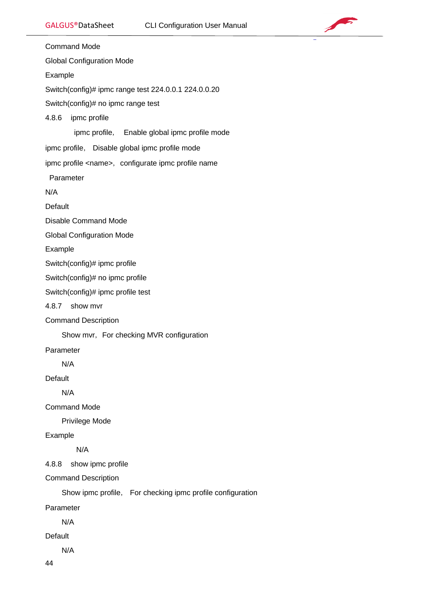

Command Mode Global Configuration Mode Example Switch(config)# ipmc range test 224.0.0.1 224.0.0.20 Switch(config)# no ipmc range test 4.8.6 ipmc profile ipmc profile, Enable global ipmc profile mode ipmc profile, Disable global ipmc profile mode ipmc profile <name>, configurate ipmc profile name Parameter N/A Default Disable Command Mode Global Configuration Mode Example Switch(config)# ipmc profile Switch(config)# no ipmc profile Switch(config)# ipmc profile test 4.8.7 show mvr Command Description Show mvr, For checking MVR configuration Parameter N/A Default N/A Command Mode Privilege Mode Example N/A 4.8.8 show ipmc profile Command Description Show ipmc profile, For checking ipmc profile configuration Parameter N/A **Default** N/A

44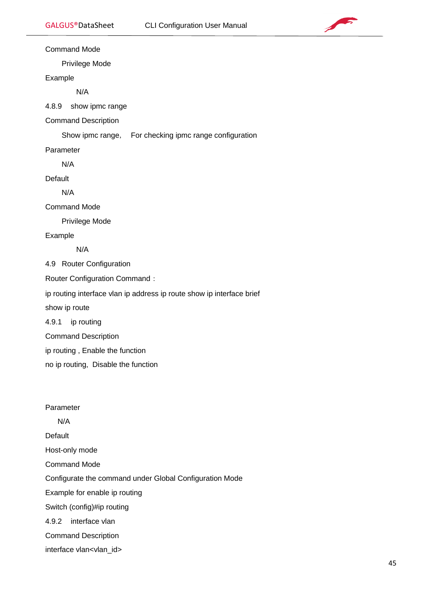

Command Mode

Privilege Mode

Example

N/A

4.8.9 show ipmc range

Command Description

Show ipmc range, For checking ipmc range configuration

Parameter

N/A

Default

N/A

Command Mode

Privilege Mode

Example

N/A

4.9 Router Configuration

Router Configuration Command:

ip routing interface vlan ip address ip route show ip interface brief

show ip route

4.9.1 ip routing

Command Description

ip routing , Enable the function

no ip routing, Disable the function

Parameter

N/A

Default

Host-only mode

Command Mode

Configurate the command under Global Configuration Mode

Example for enable ip routing

Switch (config)#ip routing

4.9.2 interface vlan

Command Description

interface vlan<vlan\_id>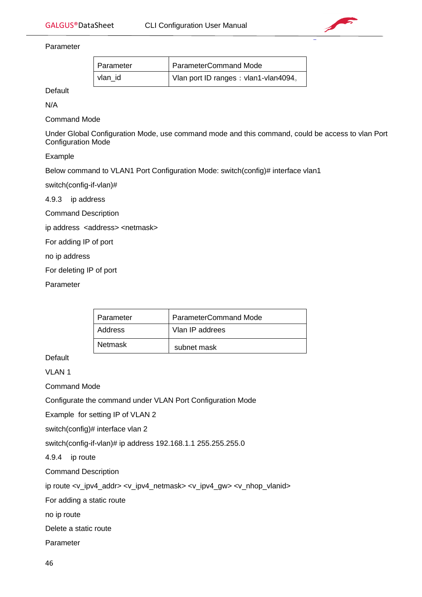

Parameter

| Parameter | ParameterCommand Mode                |
|-----------|--------------------------------------|
| vlan id   | Vlan port ID ranges: vlan1-vlan4094。 |

Default

N/A

Command Mode

Under Global Configuration Mode, use command mode and this command, could be access to vlan Port Configuration Mode

Example

Below command to VLAN1 Port Configuration Mode: switch(config)# interface vlan1

switch(config-if-vlan)#

4.9.3 ip address

Command Description

ip address <address> <netmask>

For adding IP of port

no ip address

For deleting IP of port

Parameter

| Parameter | ParameterCommand Mode |
|-----------|-----------------------|
| Address   | Vlan IP addrees       |
| Netmask   | subnet mask           |

Default

VLAN 1

Command Mode

Configurate the command under VLAN Port Configuration Mode

Example for setting IP of VLAN 2

switch(config)# interface vlan 2

switch(config-if-vlan)# ip address 192.168.1.1 255.255.255.0

4.9.4 ip route

Command Description

ip route <v\_ipv4\_addr> <v\_ipv4\_netmask> <v\_ipv4\_gw> <v\_nhop\_vlanid>

For adding a static route

no ip route

Delete a static route

Parameter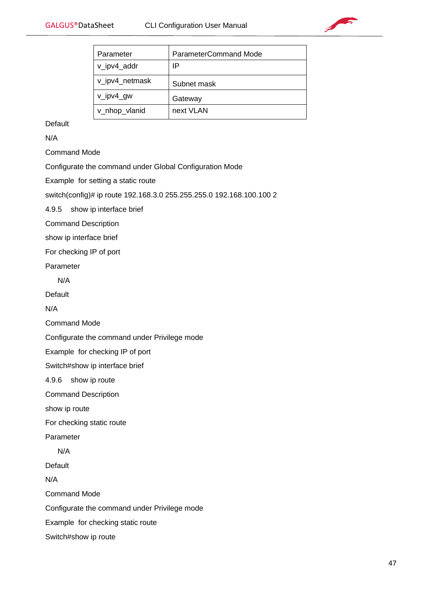

| Parameter      | ParameterCommand Mode |
|----------------|-----------------------|
| v_ipv4_addr    | IP                    |
| v_ipv4_netmask | Subnet mask           |
| v_ipv4_gw      | Gateway               |
| v_nhop_vlanid  | next VLAN             |

**Default** 

N/A

Command Mode

Configurate the command under Global Configuration Mode

Example for setting a static route

switch(config)# ip route 192.168.3.0 255.255.255.0 192.168.100.100 2

4.9.5 show ip interface brief

Command Description

show ip interface brief

For checking IP of port

Parameter

N/A

Default

N/A

Command Mode

Configurate the command under Privilege mode

Example for checking IP of port

Switch#show ip interface brief

4.9.6 show ip route

Command Description

show ip route

For checking static route

Parameter

N/A

**Default** 

N/A

Command Mode

Configurate the command under Privilege mode

Example for checking static route

Switch#show ip route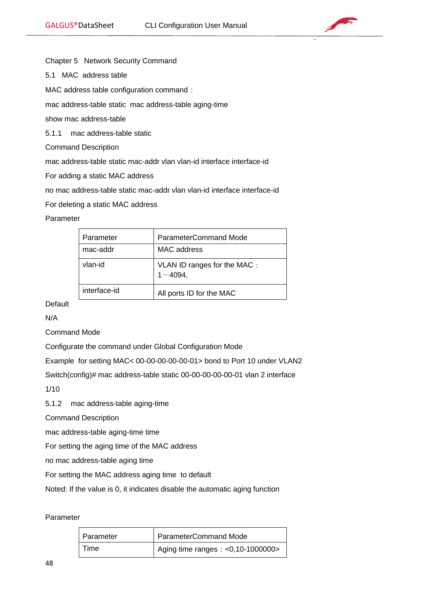

Chapter 5 Network Security Command

5.1 MAC address table

MAC address table configuration command:

mac address-table static mac address-table aging-time

show mac address-table

5.1.1 mac address-table static

Command Description

mac address-table static mac-addr vlan vlan-id interface interface-id

For adding a static MAC address

no mac address-table static mac-addr vlan vlan-id interface interface-id

For deleting a static MAC address

#### Parameter

| Parameter    | ParameterCommand Mode                      |
|--------------|--------------------------------------------|
| mac-addr     | MAC address                                |
| vlan-id      | VLAN ID ranges for the MAC :<br>$1 - 4094$ |
| interface-id | All ports ID for the MAC                   |

Default

N/A

Command Mode

Configurate the command under Global Configuration Mode

Example for setting MAC< 00-00-00-00-00-01> bond to Port 10 under VLAN2

Switch(config)# mac address-table static 00-00-00-00-00-01 vlan 2 interface

1/10

5.1.2 mac address-table aging-time

Command Description

mac address-table aging-time time

For setting the aging time of the MAC address

no mac address-table aging time

For setting the MAC address aging time to default

Noted: If the value is 0, it indicates disable the automatic aging function

#### Parameter

| Parameter | ParameterCommand Mode               |
|-----------|-------------------------------------|
| Time      | Aging time ranges: $< 0,10-1000000$ |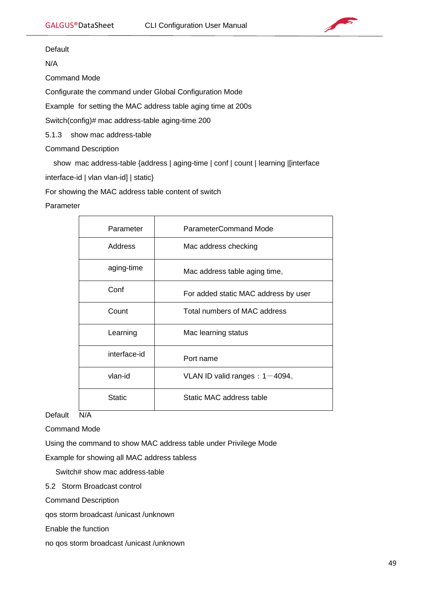

Default

N/A

Command Mode

Configurate the command under Global Configuration Mode

Example for setting the MAC address table aging time at 200s

Switch(config)# mac address-table aging-time 200

5.1.3 show mac address-table

Command Description

show mac address-table {address | aging-time | conf | count | learning |[interface

interface-id | vlan vlan-id] | static}

For showing the MAC address table content of switch

## Parameter

| Parameter     | <b>ParameterCommand Mode</b>                 |
|---------------|----------------------------------------------|
| Address       | Mac address checking                         |
| aging-time    | Mac address table aging time.                |
| Conf          | For added static MAC address by user         |
| Count         | Total numbers of MAC address                 |
| Learning      | Mac learning status                          |
| interface-id  | Port name                                    |
| vlan-id       | VLAN ID valid ranges : $1-4094$ <sub>o</sub> |
| <b>Static</b> | Static MAC address table                     |

Default N/A

Command Mode

Using the command to show MAC address table under Privilege Mode

Example for showing all MAC address tabless

Switch# show mac address-table

5.2 Storm Broadcast control

Command Description

qos storm broadcast /unicast /unknown

Enable the function

no qos storm broadcast /unicast /unknown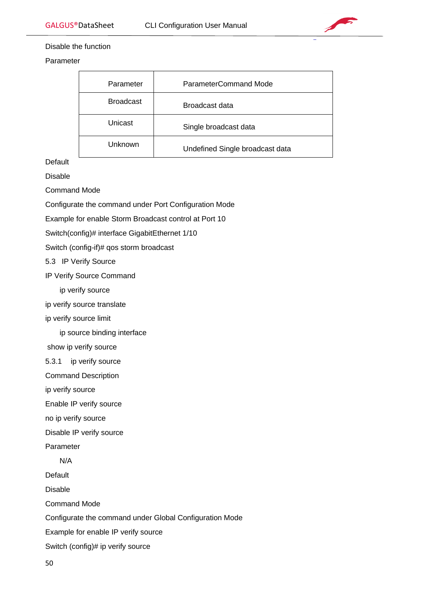

### Disable the function

Parameter

| Parameter        | ParameterCommand Mode           |
|------------------|---------------------------------|
| <b>Broadcast</b> | Broadcast data                  |
| Unicast          | Single broadcast data           |
| Unknown          | Undefined Single broadcast data |

Default

Disable

Command Mode

Configurate the command under Port Configuration Mode

Example for enable Storm Broadcast control at Port 10

Switch(config)# interface GigabitEthernet 1/10

Switch (config-if)# qos storm broadcast

5.3 IP Verify Source

IP Verify Source Command

ip verify source

ip verify source translate

ip verify source limit

ip source binding interface

show ip verify source

5.3.1 ip verify source

Command Description

ip verify source

Enable IP verify source

no ip verify source

Disable IP verify source

Parameter

N/A

Default

Disable

Command Mode

Configurate the command under Global Configuration Mode

Example for enable IP verify source

Switch (config)# ip verify source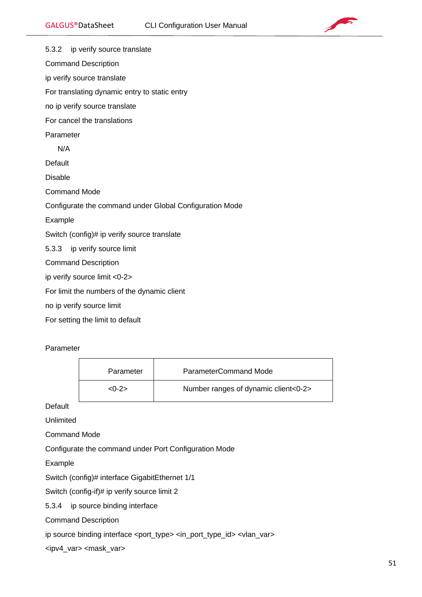

5.3.2 ip verify source translate Command Description ip verify source translate For translating dynamic entry to static entry no ip verify source translate For cancel the translations Parameter N/A **Default** Disable Command Mode Configurate the command under Global Configuration Mode Example Switch (config)# ip verify source translate 5.3.3 ip verify source limit Command Description ip verify source limit <0-2> For limit the numbers of the dynamic client no ip verify source limit For setting the limit to default

Parameter

| Parameter | ParameterCommand Mode                |
|-----------|--------------------------------------|
| $< 0 - 2$ | Number ranges of dynamic client<0-2> |

**Default** 

Unlimited

Command Mode

Configurate the command under Port Configuration Mode

Example

Switch (config)# interface GigabitEthernet 1/1

Switch (config-if)# ip verify source limit 2

5.3.4 ip source binding interface

Command Description

ip source binding interface <port\_type> <in\_port\_type\_id> <vlan\_var>

<ipv4\_var> <mask\_var>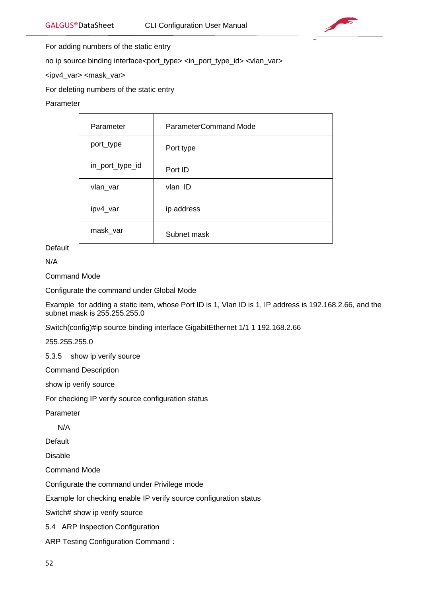

For adding numbers of the static entry

no ip source binding interface<port\_type> <in\_port\_type\_id> <vlan\_var>

<ipv4\_var> <mask\_var>

For deleting numbers of the static entry

# Parameter

| Parameter       | ParameterCommand Mode |
|-----------------|-----------------------|
| port_type       | Port type             |
| in_port_type_id | Port ID               |
| vlan_var        | vlan ID               |
| ipv4_var        | ip address            |
| mask_var        | Subnet mask           |

**Default** 

N/A

Command Mode

Configurate the command under Global Mode

Example for adding a static item, whose Port ID is 1, Vlan ID is 1, IP address is 192.168.2.66, and the subnet mask is 255.255.255.0

Switch(config)#ip source binding interface GigabitEthernet 1/1 1 192.168.2.66

255.255.255.0

5.3.5 show ip verify source

Command Description

show ip verify source

For checking IP verify source configuration status

Parameter

N/A

Default

Disable

Command Mode

Configurate the command under Privilege mode

Example for checking enable IP verify source configuration status

Switch# show ip verify source

5.4 ARP Inspection Configuration

ARP Testing Configuration Command: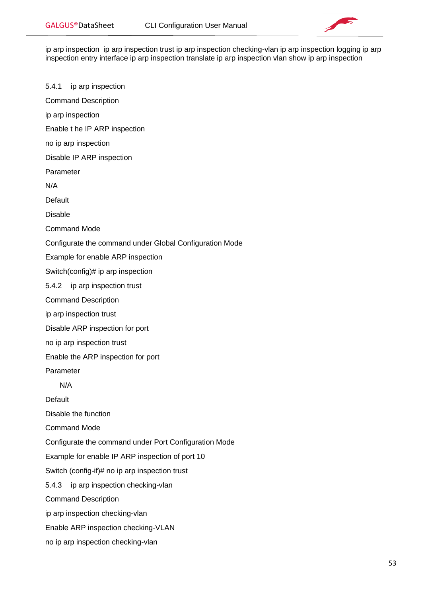

ip arp inspection ip arp inspection trust ip arp inspection checking-vlan ip arp inspection logging ip arp inspection entry interface ip arp inspection translate ip arp inspection vlan show ip arp inspection

5.4.1 ip arp inspection Command Description ip arp inspection Enable t he IP ARP inspection no ip arp inspection Disable IP ARP inspection Parameter N/A **Default** Disable Command Mode Configurate the command under Global Configuration Mode Example for enable ARP inspection Switch(config)# ip arp inspection 5.4.2 ip arp inspection trust Command Description ip arp inspection trust Disable ARP inspection for port no ip arp inspection trust Enable the ARP inspection for port Parameter N/A **Default** Disable the function Command Mode Configurate the command under Port Configuration Mode Example for enable IP ARP inspection of port 10 Switch (config-if)# no ip arp inspection trust 5.4.3 ip arp inspection checking-vlan Command Description ip arp inspection checking-vlan Enable ARP inspection checking-VLAN

no ip arp inspection checking-vlan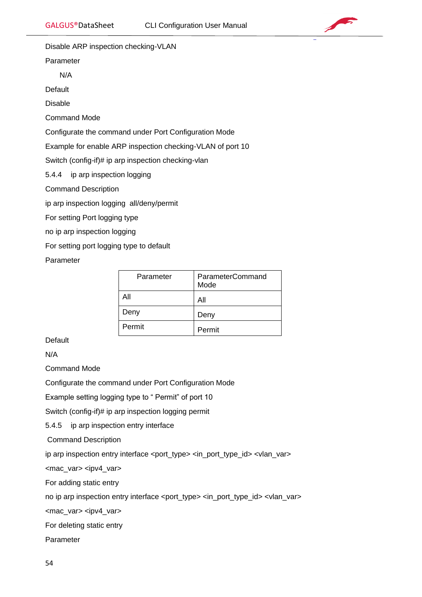

Disable ARP inspection checking-VLAN

Parameter

N/A

**Default** 

Disable

Command Mode

Configurate the command under Port Configuration Mode

Example for enable ARP inspection checking-VLAN of port 10

Switch (config-if)# ip arp inspection checking-vlan

5.4.4 ip arp inspection logging

Command Description

ip arp inspection logging all/deny/permit

For setting Port logging type

no ip arp inspection logging

For setting port logging type to default

Parameter

| Parameter | <b>ParameterCommand</b><br>Mode |
|-----------|---------------------------------|
| Αll       | All                             |
| Deny      | Deny                            |
| Permit    | Permit                          |

**Default** 

N/A

Command Mode

Configurate the command under Port Configuration Mode

Example setting logging type to " Permit" of port 10

Switch (config-if)# ip arp inspection logging permit

5.4.5 ip arp inspection entry interface

Command Description

ip arp inspection entry interface <port\_type> <in\_port\_type\_id> <vlan\_var>

<mac\_var> <ipv4\_var>

For adding static entry

no ip arp inspection entry interface <port\_type> <in\_port\_type\_id> <vlan\_var>

<mac\_var> <ipv4\_var>

For deleting static entry

Parameter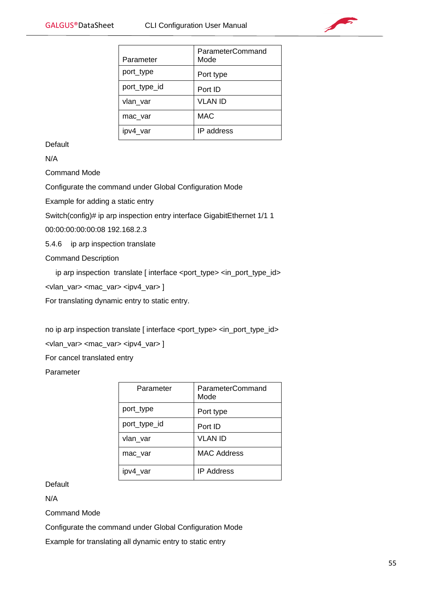

| Parameter    | ParameterCommand<br>Mode |
|--------------|--------------------------|
| port_type    | Port type                |
| port_type_id | Port ID                  |
| vlan_var     | <b>VLAN ID</b>           |
| mac var      | <b>MAC</b>               |
| var          | IP address               |

Default

N/A

Command Mode

Configurate the command under Global Configuration Mode

Example for adding a static entry

Switch(config)# ip arp inspection entry interface GigabitEthernet 1/1 1

00:00:00:00:00:08 192.168.2.3

5.4.6 ip arp inspection translate

Command Description

ip arp inspection translate [ interface <port\_type> <in\_port\_type\_id>

<vlan\_var> <mac\_var> <ipv4\_var> ]

For translating dynamic entry to static entry.

no ip arp inspection translate [ interface <port\_type> <in\_port\_type\_id> <vlan\_var> <mac\_var> <ipv4\_var> ]

For cancel translated entry

Parameter

| Parameter    | ParameterCommand<br>Mode |
|--------------|--------------------------|
| port_type    | Port type                |
| port_type_id | Port ID                  |
| vlan_var     | VLAN ID                  |
| mac var      | <b>MAC Address</b>       |
| ipv4 var     | <b>IP Address</b>        |

**Default** 

N/A

Command Mode

Configurate the command under Global Configuration Mode

Example for translating all dynamic entry to static entry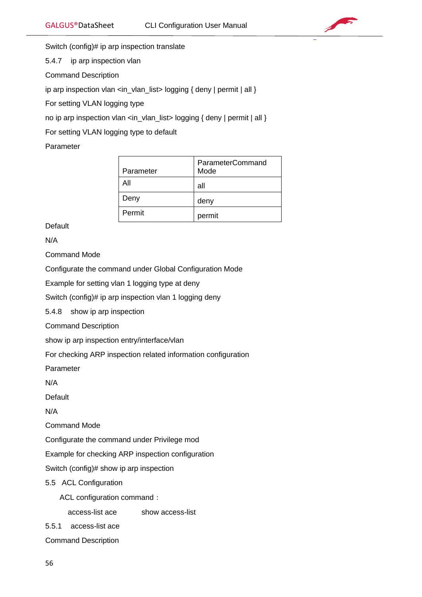

Switch (config)# ip arp inspection translate

5.4.7 ip arp inspection vlan

Command Description

ip arp inspection vlan <in\_vlan\_list> logging { deny | permit | all }

For setting VLAN logging type

no ip arp inspection vlan <in\_vlan\_list> logging { deny | permit | all }

For setting VLAN logging type to default

Parameter

| Parameter | ParameterCommand<br>Mode |
|-----------|--------------------------|
| Αll       | all                      |
| Deny      | deny                     |
| Permit    | permit                   |

**Default** 

N/A

Command Mode

Configurate the command under Global Configuration Mode

Example for setting vlan 1 logging type at deny

Switch (config)# ip arp inspection vlan 1 logging deny

5.4.8 show ip arp inspection

Command Description

show ip arp inspection entry/interface/vlan

For checking ARP inspection related information configuration

Parameter

N/A

Default

N/A

Command Mode

Configurate the command under Privilege mod

Example for checking ARP inspection configuration

Switch (config)# show ip arp inspection

5.5 ACL Configuration

ACL configuration command:

access-list ace show access-list

5.5.1 access-list ace

Command Description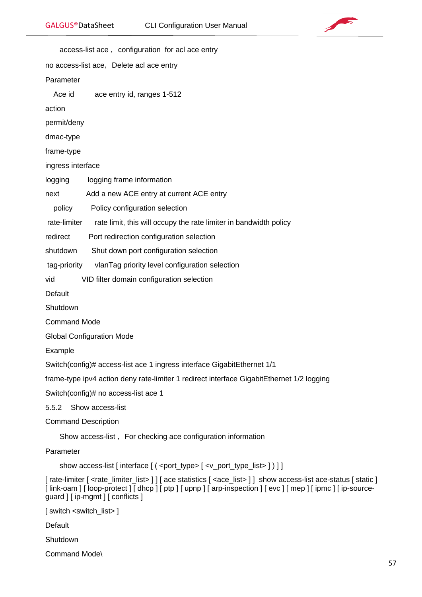

access-list ace, configuration for acl ace entry no access-list ace, Delete acl ace entry Parameter Ace id ace entry id, ranges 1-512 action permit/deny dmac-type frame-type ingress interface logging logging frame information next Add a new ACE entry at current ACE entry policy Policy configuration selection rate-limiter rate limit, this will occupy the rate limiter in bandwidth policy redirect Port redirection configuration selection shutdown Shut down port configuration selection tag-priority vlanTag priority level configuration selection vid VID filter domain configuration selection Default **Shutdown** Command Mode Global Configuration Mode Example Switch(config)# access-list ace 1 ingress interface GigabitEthernet 1/1 frame-type ipv4 action deny rate-limiter 1 redirect interface GigabitEthernet 1/2 logging Switch(config)# no access-list ace 1 5.5.2 Show access-list Command Description Show access-list, For checking ace configuration information Parameter show access-list [interface  $[(\langle \text{port type}\rangle \mid \langle \text{v} \rangle]$  port\_type\_list> ] ) ] ] [ rate-limiter  $\lceil$  <rate\_limiter\_list>  $\rceil$  | ace statistics  $\lceil$  <ace\_list>  $\rceil$  } show access-list ace-status  $\lceil$  static  $\rceil$ [link-oam] [loop-protect] [dhcp] [ptp] [upnp] [arp-inspection] [evc] [mep] [ipmc] [ip-sourceguard ] [ ip-mgmt ] [ conflicts ] [ switch <switch\_list> ]

**Default** 

**Shutdown** 

Command Mode\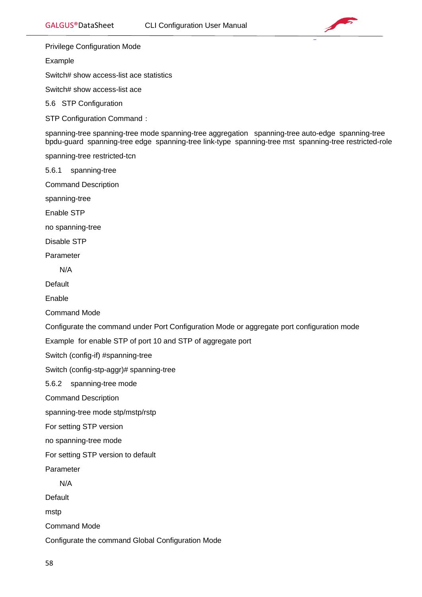

Privilege Configuration Mode

Example

Switch# show access-list ace statistics

Switch# show access-list ace

5.6 STP Configuration

STP Configuration Command:

spanning-tree spanning-tree mode spanning-tree aggregation spanning-tree auto-edge spanning-tree bpdu-guard spanning-tree edge spanning-tree link-type spanning-tree mst spanning-tree restricted-role

spanning-tree restricted-tcn

5.6.1 spanning-tree

Command Description

spanning-tree

Enable STP

no spanning-tree

Disable STP

Parameter

N/A

Default

Enable

Command Mode

Configurate the command under Port Configuration Mode or aggregate port configuration mode

Example for enable STP of port 10 and STP of aggregate port

Switch (config-if) #spanning-tree

Switch (config-stp-aggr)# spanning-tree

5.6.2 spanning-tree mode

Command Description

spanning-tree mode stp/mstp/rstp

For setting STP version

no spanning-tree mode

For setting STP version to default

Parameter

N/A

**Default** 

mstp

Command Mode

Configurate the command Global Configuration Mode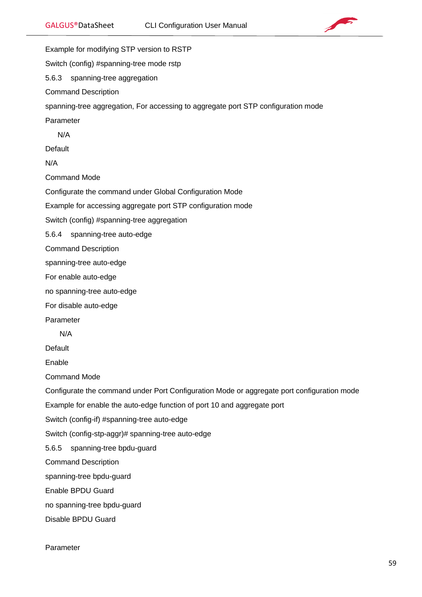



Example for modifying STP version to RSTP Switch (config) #spanning-tree mode rstp 5.6.3 spanning-tree aggregation Command Description spanning-tree aggregation, For accessing to aggregate port STP configuration mode Parameter N/A **Default** N/A Command Mode Configurate the command under Global Configuration Mode Example for accessing aggregate port STP configuration mode Switch (config) #spanning-tree aggregation 5.6.4 spanning-tree auto-edge Command Description spanning-tree auto-edge For enable auto-edge no spanning-tree auto-edge For disable auto-edge Parameter N/A Default Enable Command Mode Configurate the command under Port Configuration Mode or aggregate port configuration mode Example for enable the auto-edge function of port 10 and aggregate port Switch (config-if) #spanning-tree auto-edge Switch (config-stp-aggr)# spanning-tree auto-edge 5.6.5 spanning-tree bpdu-guard Command Description spanning-tree bpdu-guard Enable BPDU Guard no spanning-tree bpdu-guard Disable BPDU Guard

Parameter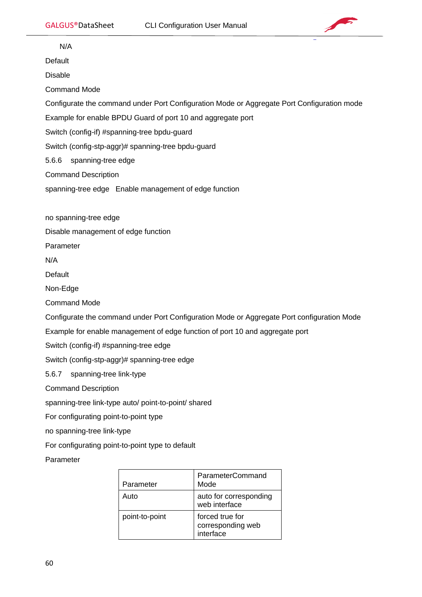

N/A

**Default** 

Disable

Command Mode

Configurate the command under Port Configuration Mode or Aggregate Port Configuration mode

Example for enable BPDU Guard of port 10 and aggregate port

Switch (config-if) #spanning-tree bpdu-guard

Switch (config-stp-aggr)# spanning-tree bpdu-guard

5.6.6 spanning-tree edge

Command Description

spanning-tree edge Enable management of edge function

no spanning-tree edge

Disable management of edge function

Parameter

N/A

**Default** 

Non-Edge

Command Mode

Configurate the command under Port Configuration Mode or Aggregate Port configuration Mode

Example for enable management of edge function of port 10 and aggregate port

Switch (config-if) #spanning-tree edge

Switch (config-stp-aggr)# spanning-tree edge

5.6.7 spanning-tree link-type

Command Description

spanning-tree link-type auto/ point-to-point/ shared

For configurating point-to-point type

no spanning-tree link-type

For configurating point-to-point type to default

Parameter

| Parameter      | <b>ParameterCommand</b><br>Mode                   |
|----------------|---------------------------------------------------|
| Auto           | auto for corresponding<br>web interface           |
| point-to-point | forced true for<br>corresponding web<br>interface |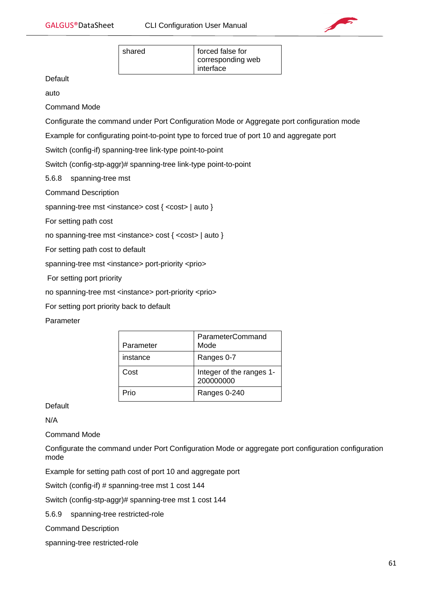

| shared | forced false for               |
|--------|--------------------------------|
|        | corresponding web<br>interface |

**Default** 

auto

Command Mode

Configurate the command under Port Configuration Mode or Aggregate port configuration mode

Example for configurating point-to-point type to forced true of port 10 and aggregate port

Switch (config-if) spanning-tree link-type point-to-point

Switch (config-stp-aggr)# spanning-tree link-type point-to-point

5.6.8 spanning-tree mst

Command Description

spanning-tree mst <instance> cost { <cost> | auto }

For setting path cost

no spanning-tree mst <instance> cost { <cost> | auto }

For setting path cost to default

spanning-tree mst <instance> port-priority <prio>

For setting port priority

no spanning-tree mst <instance> port-priority <prio>

For setting port priority back to default

# Parameter

| Parameter | <b>ParameterCommand</b><br>Mode       |
|-----------|---------------------------------------|
| instance  | Ranges 0-7                            |
| Cost      | Integer of the ranges 1-<br>200000000 |
| ⊃ri∩      | Ranges 0-240                          |

**Default** 

N/A

Command Mode

Configurate the command under Port Configuration Mode or aggregate port configuration configuration mode

Example for setting path cost of port 10 and aggregate port

Switch (config-if) # spanning-tree mst 1 cost 144

Switch (config-stp-aggr)# spanning-tree mst 1 cost 144

5.6.9 spanning-tree restricted-role

Command Description

spanning-tree restricted-role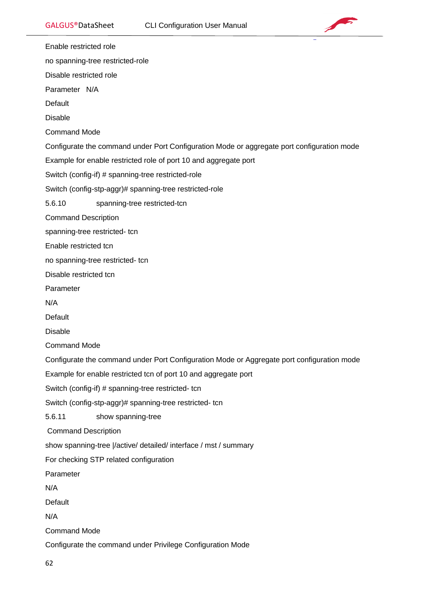

Enable restricted role

no spanning-tree restricted-role

Disable restricted role

Parameter N/A

**Default** 

Disable

Command Mode

Configurate the command under Port Configuration Mode or aggregate port configuration mode

Example for enable restricted role of port 10 and aggregate port

Switch (config-if) # spanning-tree restricted-role

Switch (config-stp-aggr)# spanning-tree restricted-role

5.6.10 spanning-tree restricted-tcn

Command Description

spanning-tree restricted- tcn

Enable restricted tcn

no spanning-tree restricted- tcn

Disable restricted tcn

Parameter

N/A

**Default** 

Disable

Command Mode

Configurate the command under Port Configuration Mode or Aggregate port configuration mode

Example for enable restricted tcn of port 10 and aggregate port

Switch (config-if) # spanning-tree restricted- tcn

Switch (config-stp-aggr)# spanning-tree restricted- tcn

5.6.11 show spanning-tree

Command Description

show spanning-tree |/active/ detailed/ interface / mst / summary

For checking STP related configuration

Parameter

N/A

Default

N/A

Command Mode

Configurate the command under Privilege Configuration Mode

62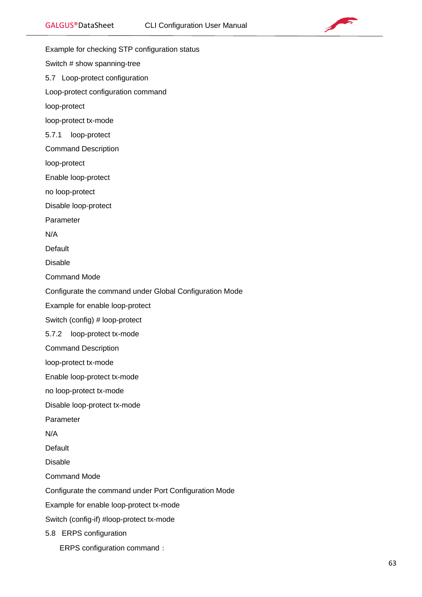

GALGUS®DataSheet CLI Configuration User Manual Example for checking STP configuration status Switch # show spanning-tree 5.7 Loop-protect configuration Loop-protect configuration command loop-protect loop-protect tx-mode 5.7.1 loop-protect Command Description loop-protect Enable loop-protect no loop-protect Disable loop-protect Parameter N/A **Default** Disable Command Mode Configurate the command under Global Configuration Mode Example for enable loop-protect Switch (config) # loop-protect 5.7.2 loop-protect tx-mode Command Description loop-protect tx-mode Enable loop-protect tx-mode no loop-protect tx-mode Disable loop-protect tx-mode Parameter N/A **Default** Disable Command Mode Configurate the command under Port Configuration Mode Example for enable loop-protect tx-mode Switch (config-if) #loop-protect tx-mode 5.8 ERPS configuration ERPS configuration command: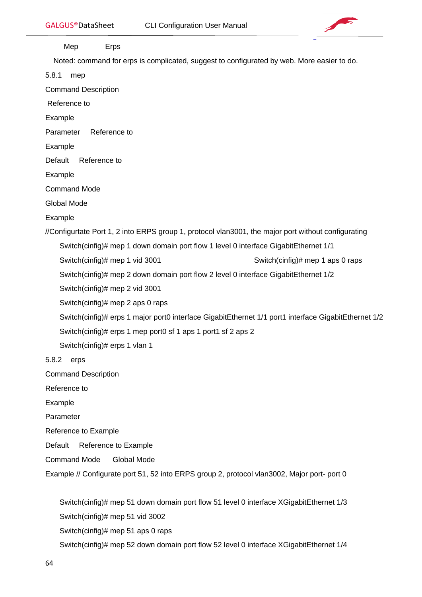

Mep Erps

Noted: command for erps is complicated, suggest to configurated by web. More easier to do.

5.8.1 mep

Command Description

Reference to

Example

Parameter Reference to

Example

Default Reference to

Example

Command Mode

Global Mode

Example

//Configurtate Port 1, 2 into ERPS group 1, protocol vlan3001, the major port without configurating

Switch(cinfig)# mep 1 down domain port flow 1 level 0 interface GigabitEthernet 1/1

Switch(cinfig)# mep 1 vid 3001 Switch(cinfig)# mep 1 aps 0 raps

Switch(cinfig)# mep 2 down domain port flow 2 level 0 interface GigabitEthernet 1/2

Switch(cinfig)# mep 2 vid 3001

Switch(cinfig)# mep 2 aps 0 raps

Switch(cinfig)# erps 1 major port0 interface GigabitEthernet 1/1 port1 interface GigabitEthernet 1/2

Switch(cinfig)# erps 1 mep port0 sf 1 aps 1 port1 sf 2 aps 2

Switch(cinfig)# erps 1 vlan 1

5.8.2 erps

Command Description

Reference to

Example

Parameter

Reference to Example

Default Reference to Example

Command Mode Global Mode

Example // Configurate port 51, 52 into ERPS group 2, protocol vlan3002, Major port- port 0

 Switch(cinfig)# mep 51 down domain port flow 51 level 0 interface XGigabitEthernet 1/3 Switch(cinfig)# mep 51 vid 3002 Switch(cinfig)# mep 51 aps 0 raps Switch(cinfig)# mep 52 down domain port flow 52 level 0 interface XGigabitEthernet 1/4

64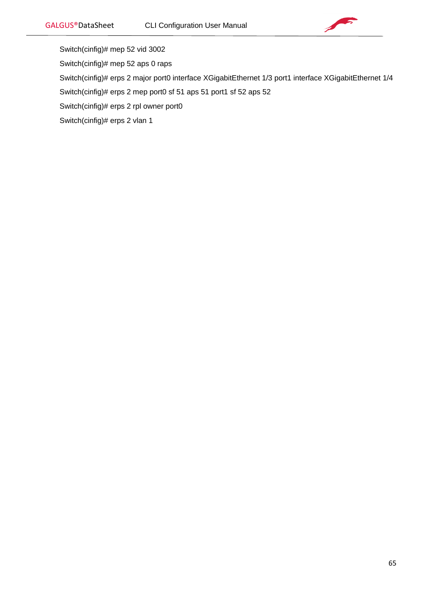

- Switch(cinfig)# mep 52 vid 3002
- Switch(cinfig)# mep 52 aps 0 raps
- Switch(cinfig)# erps 2 major port0 interface XGigabitEthernet 1/3 port1 interface XGigabitEthernet 1/4
- Switch(cinfig)# erps 2 mep port0 sf 51 aps 51 port1 sf 52 aps 52
- Switch(cinfig)# erps 2 rpl owner port0
- Switch(cinfig)# erps 2 vlan 1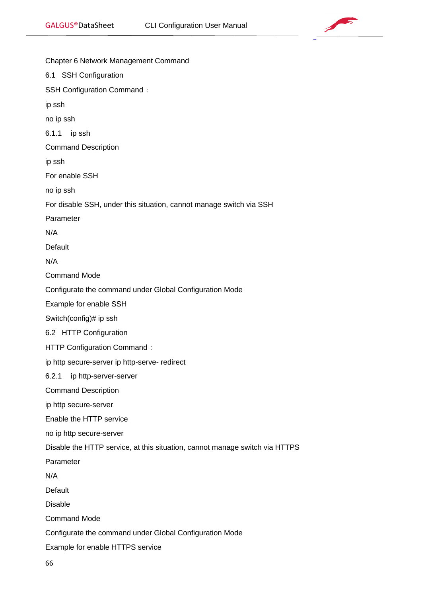

| Chapter 6 Network Management Command                                        |
|-----------------------------------------------------------------------------|
| 6.1 SSH Configuration                                                       |
| <b>SSH Configuration Command:</b>                                           |
| ip ssh                                                                      |
| no ip ssh                                                                   |
| 6.1.1<br>ip ssh                                                             |
| <b>Command Description</b>                                                  |
| ip ssh                                                                      |
| For enable SSH                                                              |
| no ip ssh                                                                   |
| For disable SSH, under this situation, cannot manage switch via SSH         |
| Parameter                                                                   |
| N/A                                                                         |
| Default                                                                     |
| N/A                                                                         |
| <b>Command Mode</b>                                                         |
| Configurate the command under Global Configuration Mode                     |
| Example for enable SSH                                                      |
| Switch(config)# ip ssh                                                      |
| 6.2 HTTP Configuration                                                      |
| HTTP Configuration Command:                                                 |
| ip http secure-server ip http-serve- redirect                               |
| 6.2.1<br>ip http-server-server                                              |
| <b>Command Description</b>                                                  |
| ip http secure-server                                                       |
| Enable the HTTP service                                                     |
| no ip http secure-server                                                    |
| Disable the HTTP service, at this situation, cannot manage switch via HTTPS |
| Parameter                                                                   |
| N/A                                                                         |
| Default                                                                     |
| <b>Disable</b>                                                              |
| <b>Command Mode</b>                                                         |
| Configurate the command under Global Configuration Mode                     |
| Example for enable HTTPS service                                            |

66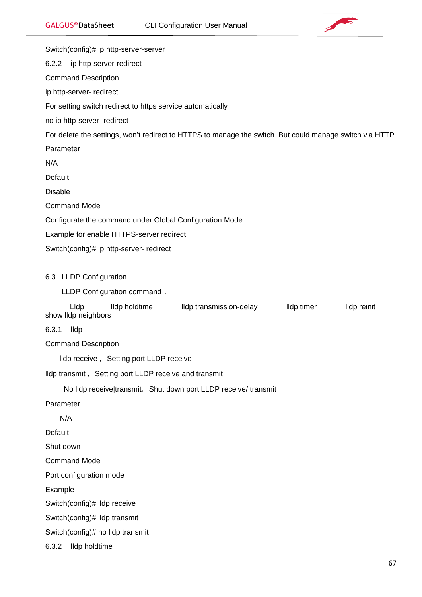

Switch(config)# ip http-server-server 6.2.2 ip http-server-redirect Command Description ip http-server- redirect For setting switch redirect to https service automatically no ip http-server- redirect For delete the settings, won't redirect to HTTPS to manage the switch. But could manage switch via HTTP Parameter N/A **Default** Disable Command Mode Configurate the command under Global Configuration Mode Example for enable HTTPS-server redirect Switch(config)# ip http-server- redirect 6.3 LLDP Configuration LLDP Configuration command: Lldp lldp holdtime lldp transmission-delay lldp timer lldp reinit show lldp neighbors 6.3.1 lldp Command Description lldp receive, Setting port LLDP receive lldp transmit, Setting port LLDP receive and transmit No Ildp receive|transmit, Shut down port LLDP receive/ transmit Parameter N/A Default Shut down Command Mode Port configuration mode Example Switch(config)# lldp receive Switch(config)# lldp transmit Switch(config)# no lldp transmit 6.3.2 lldp holdtime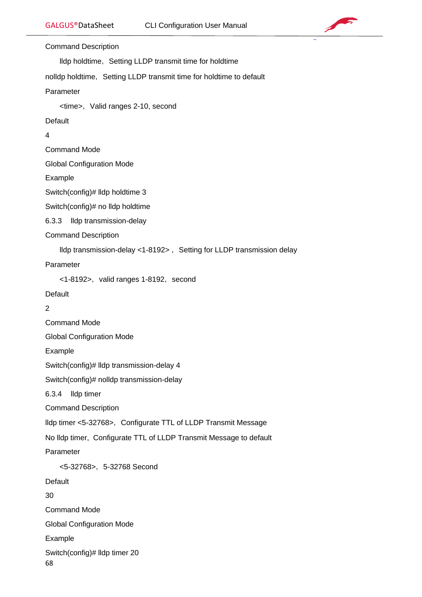

Command Description

Ildp holdtime, Setting LLDP transmit time for holdtime

nolldp holdtime, Setting LLDP transmit time for holdtime to default

Parameter

<time>, Valid ranges 2-10, second

**Default** 

4

Command Mode

Global Configuration Mode

Example

Switch(config)# lldp holdtime 3

Switch(config)# no lldp holdtime

6.3.3 lldp transmission-delay

Command Description

lldp transmission-delay <1-8192>, Setting for LLDP transmission delay

Parameter

<1-8192>, valid ranges 1-8192, second

Default

 $\mathfrak{p}$ 

Command Mode

Global Configuration Mode

Example

Switch(config)# lldp transmission-delay 4

Switch(config)# nolldp transmission-delay

6.3.4 lldp timer

Command Description

lldp timer <5-32768>, Configurate TTL of LLDP Transmit Message

No lldp timer, Configurate TTL of LLDP Transmit Message to default

Parameter

<5-32768>, 5-32768 Second **Default** 30 Command Mode Global Configuration Mode Example

Switch(config)# lldp timer 20

68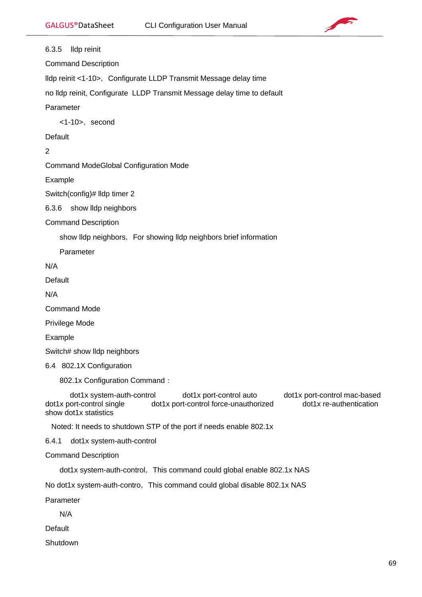Default

**Shutdown** 



6.3.5 lldp reinit Command Description Ildp reinit <1-10>, Configurate LLDP Transmit Message delay time no lldp reinit, Configurate LLDP Transmit Message delay time to default Parameter <1-10>,second **Default** 2 Command ModeGlobal Configuration Mode Example Switch(config)# lldp timer 2 6.3.6 show lldp neighbors Command Description show lldp neighbors, For showing lldp neighbors brief information Parameter N/A Default N/A Command Mode Privilege Mode Example Switch# show lldp neighbors 6.4 802.1X Configuration 802.1x Configuration Command: dot1x system-auth-control dot1x port-control auto dot1x port-control mac-based dot1x port-control single dot1x port-control force-unauthorized dot1x re-authentication show dot1x statistics Noted: It needs to shutdown STP of the port if needs enable 802.1x 6.4.1 dot1x system-auth-control Command Description dot1x system-auth-control, This command could global enable 802.1x NAS No dot1x system-auth-contro, This command could global disable 802.1x NAS Parameter N/A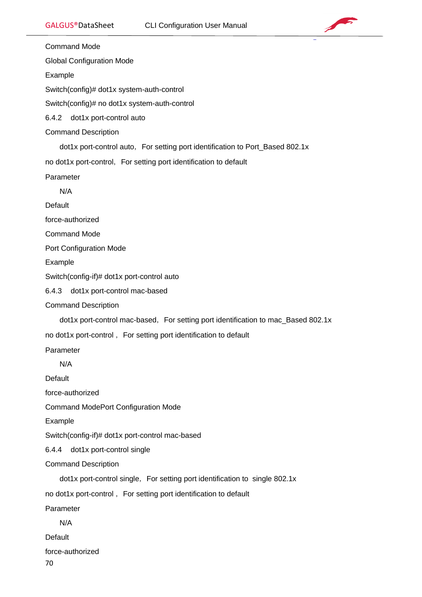

Command Mode

Global Configuration Mode

Example

Switch(config)# dot1x system-auth-control

Switch(config)# no dot1x system-auth-control

6.4.2 dot1x port-control auto

Command Description

dot1x port-control auto, For setting port identification to Port\_Based 802.1x

no dot1x port-control, For setting port identification to default

Parameter

N/A

Default

force-authorized

Command Mode

Port Configuration Mode

Example

Switch(config-if)# dot1x port-control auto

6.4.3 dot1x port-control mac-based

Command Description

dot1x port-control mac-based, For setting port identification to mac\_Based 802.1x

no dot1x port-control, For setting port identification to default

Parameter

N/A

Default

force-authorized

Command ModePort Configuration Mode

Example

Switch(config-if)# dot1x port-control mac-based

6.4.4 dot1x port-control single

Command Description

dot1x port-control single, For setting port identification to single 802.1x

no dot1x port-control, For setting port identification to default

Parameter

N/A

**Default** 

force-authorized

70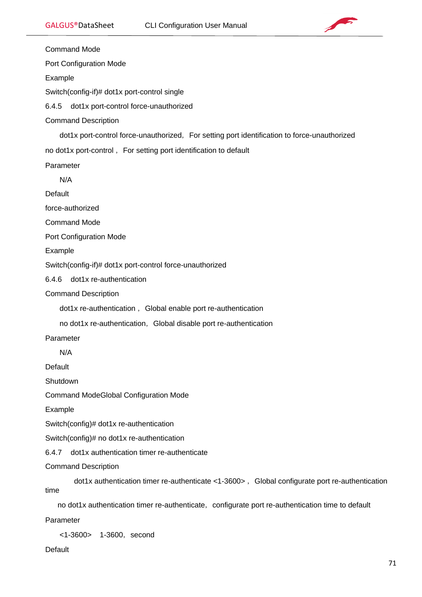

Command Mode Port Configuration Mode Example Switch(config-if)# dot1x port-control single 6.4.5 dot1x port-control force-unauthorized Command Description dot1x port-control force-unauthorized, For setting port identification to force-unauthorized no dot1x port-control, For setting port identification to default Parameter N/A **Default** force-authorized Command Mode Port Configuration Mode Example Switch(config-if)# dot1x port-control force-unauthorized 6.4.6 dot1x re-authentication Command Description dot1x re-authentication, Global enable port re-authentication no dot1x re-authentication, Global disable port re-authentication Parameter N/A **Default Shutdown** Command ModeGlobal Configuration Mode Example Switch(config)# dot1x re-authentication Switch(config)# no dot1x re-authentication 6.4.7 dot1x authentication timer re-authenticate Command Description  $dotx$  authentication timer re-authenticate <1-3600>, Global configurate port re-authentication time no dot1x authentication timer re-authenticate, configurate port re-authentication time to default Parameter <1-3600> 1-3600, second

**Default**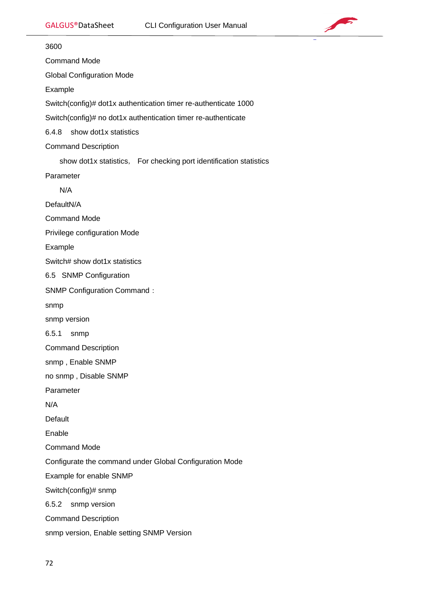

3600 Command Mode Global Configuration Mode Example Switch(config)# dot1x authentication timer re-authenticate 1000 Switch(config)# no dot1x authentication timer re-authenticate 6.4.8 show dot1x statistics Command Description show dot1x statistics, For checking port identification statistics Parameter N/A DefaultN/A Command Mode Privilege configuration Mode Example Switch# show dot1x statistics 6.5 SNMP Configuration SNMP Configuration Command: snmp snmp version 6.5.1 snmp Command Description snmp , Enable SNMP no snmp , Disable SNMP Parameter N/A Default Enable Command Mode Configurate the command under Global Configuration Mode Example for enable SNMP Switch(config)# snmp 6.5.2 snmp version Command Description snmp version, Enable setting SNMP Version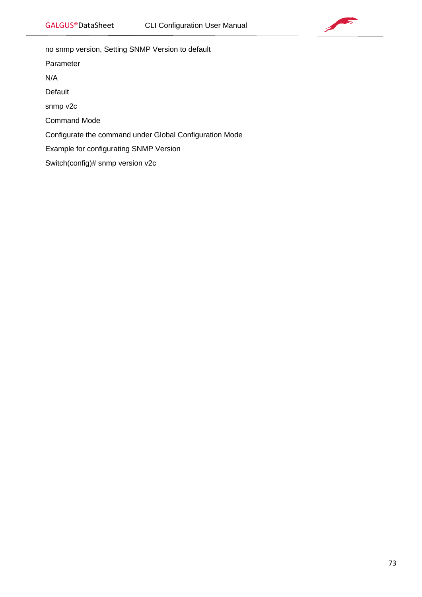

no snmp version, Setting SNMP Version to default

Parameter

N/A

Default

snmp v2c

Command Mode

Configurate the command under Global Configuration Mode

Example for configurating SNMP Version

Switch(config)# snmp version v2c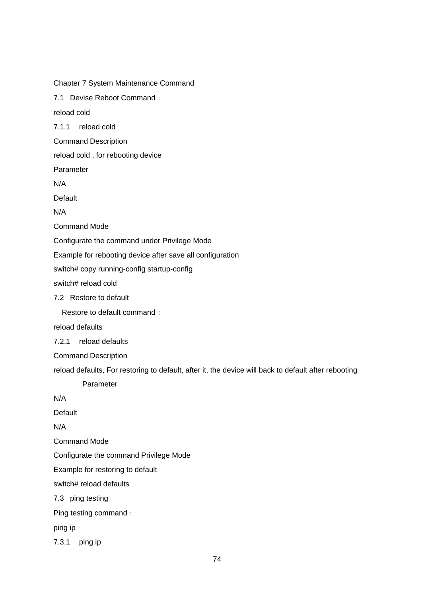Chapter 7 System Maintenance Command 7.1 Devise Reboot Command: reload cold 7.1.1 reload cold Command Description reload cold , for rebooting device Parameter N/A Default N/A Command Mode Configurate the command under Privilege Mode Example for rebooting device after save all configuration switch# copy running-config startup-config switch# reload cold 7.2 Restore to default Restore to default command: reload defaults 7.2.1 reload defaults Command Description reload defaults, For restoring to default, after it, the device will back to default after rebooting Parameter N/A **Default** N/A Command Mode Configurate the command Privilege Mode Example for restoring to default switch# reload defaults 7.3 ping testing Ping testing command: ping ip 7.3.1 ping ip